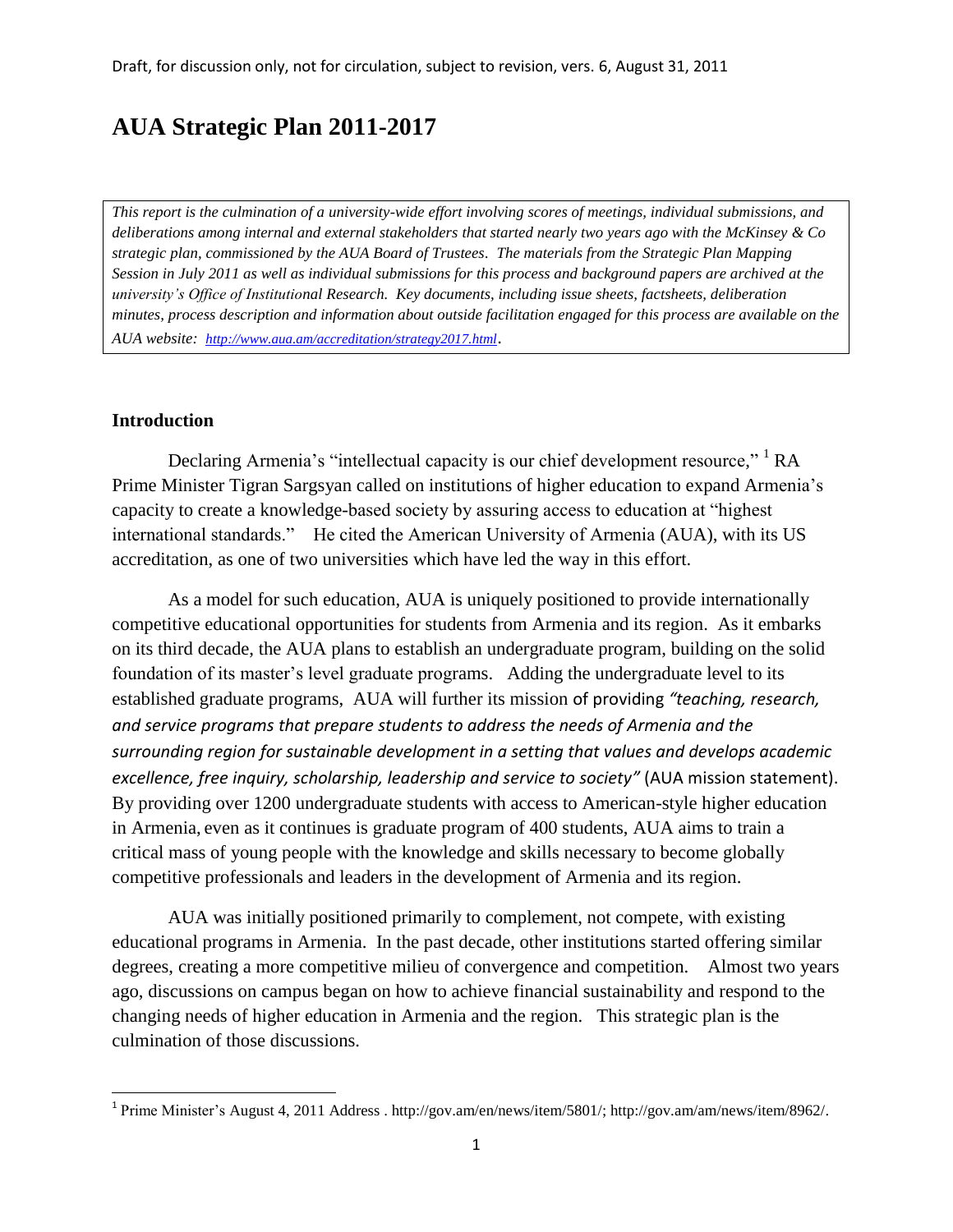# **AUA Strategic Plan 2011-2017**

*This report is the culmination of a university-wide effort involving scores of meetings, individual submissions, and deliberations among internal and external stakeholders that started nearly two years ago with the McKinsey & Co strategic plan, commissioned by the AUA Board of Trustees. The materials from the Strategic Plan Mapping Session in July 2011 as well as individual submissions for this process and background papers are archived at the university's Office of Institutional Research. Key documents, including issue sheets, factsheets, deliberation minutes, process description and information about outside facilitation engaged for this process are available on the AUA website: <http://www.aua.am/accreditation/strategy2017.html>*.

## **Introduction**

 $\overline{\phantom{a}}$ 

Declaring Armenia's "intellectual capacity is our chief development resource," <sup>1</sup> RA Prime Minister Tigran Sargsyan called on institutions of higher education to expand Armenia's capacity to create a knowledge-based society by assuring access to education at "highest international standards." He cited the American University of Armenia (AUA), with its US accreditation, as one of two universities which have led the way in this effort.

As a model for such education, AUA is uniquely positioned to provide internationally competitive educational opportunities for students from Armenia and its region. As it embarks on its third decade, the AUA plans to establish an undergraduate program, building on the solid foundation of its master's level graduate programs. Adding the undergraduate level to its established graduate programs, AUA will further its mission of providing *"teaching, research, and service programs that prepare students to address the needs of Armenia and the surrounding region for sustainable development in a setting that values and develops academic excellence, free inquiry, scholarship, leadership and service to society"* (AUA mission statement). By providing over 1200 undergraduate students with access to American-style higher education in Armenia, even as it continues is graduate program of 400 students, AUA aims to train a critical mass of young people with the knowledge and skills necessary to become globally competitive professionals and leaders in the development of Armenia and its region.

AUA was initially positioned primarily to complement, not compete, with existing educational programs in Armenia. In the past decade, other institutions started offering similar degrees, creating a more competitive milieu of convergence and competition. Almost two years ago, discussions on campus began on how to achieve financial sustainability and respond to the changing needs of higher education in Armenia and the region. This strategic plan is the culmination of those discussions.

<sup>&</sup>lt;sup>1</sup> Prime Minister's August 4, 2011 Address [. http://gov.am/en/news/item/5801/;](http://gov.am/en/news/item/5801/) [http://gov.am/am/news/item/8962/.](http://gov.am/am/news/item/8962/)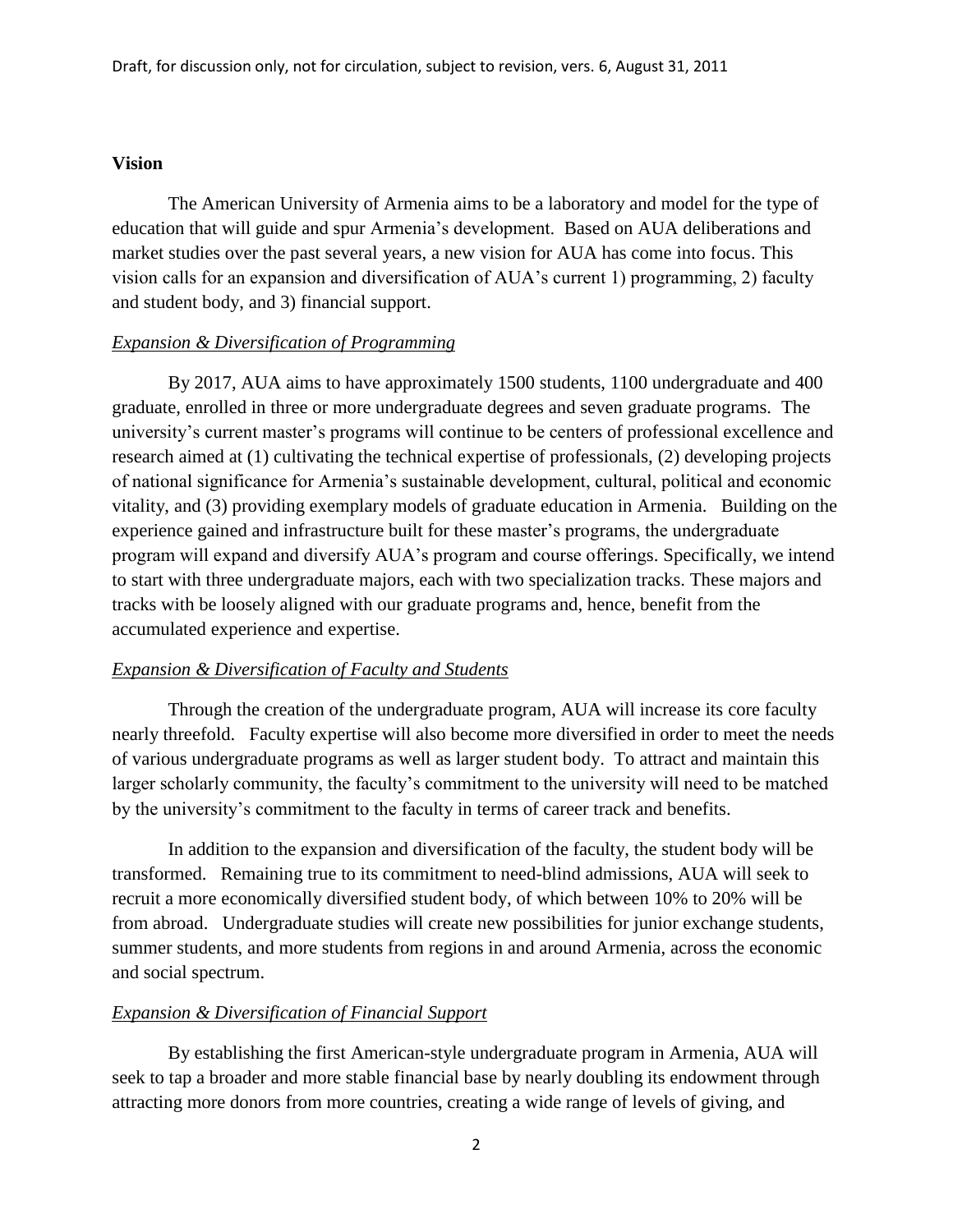## **Vision**

The American University of Armenia aims to be a laboratory and model for the type of education that will guide and spur Armenia's development. Based on AUA deliberations and market studies over the past several years, a new vision for AUA has come into focus. This vision calls for an expansion and diversification of AUA's current 1) programming, 2) faculty and student body, and 3) financial support.

#### *Expansion & Diversification of Programming*

By 2017, AUA aims to have approximately 1500 students, 1100 undergraduate and 400 graduate, enrolled in three or more undergraduate degrees and seven graduate programs. The university's current master's programs will continue to be centers of professional excellence and research aimed at (1) cultivating the technical expertise of professionals, (2) developing projects of national significance for Armenia's sustainable development, cultural, political and economic vitality, and (3) providing exemplary models of graduate education in Armenia. Building on the experience gained and infrastructure built for these master's programs, the undergraduate program will expand and diversify AUA's program and course offerings. Specifically, we intend to start with three undergraduate majors, each with two specialization tracks. These majors and tracks with be loosely aligned with our graduate programs and, hence, benefit from the accumulated experience and expertise.

#### *Expansion & Diversification of Faculty and Students*

Through the creation of the undergraduate program, AUA will increase its core faculty nearly threefold. Faculty expertise will also become more diversified in order to meet the needs of various undergraduate programs as well as larger student body. To attract and maintain this larger scholarly community, the faculty's commitment to the university will need to be matched by the university's commitment to the faculty in terms of career track and benefits.

In addition to the expansion and diversification of the faculty, the student body will be transformed. Remaining true to its commitment to need-blind admissions, AUA will seek to recruit a more economically diversified student body, of which between 10% to 20% will be from abroad. Undergraduate studies will create new possibilities for junior exchange students, summer students, and more students from regions in and around Armenia, across the economic and social spectrum.

#### *Expansion & Diversification of Financial Support*

By establishing the first American-style undergraduate program in Armenia, AUA will seek to tap a broader and more stable financial base by nearly doubling its endowment through attracting more donors from more countries, creating a wide range of levels of giving, and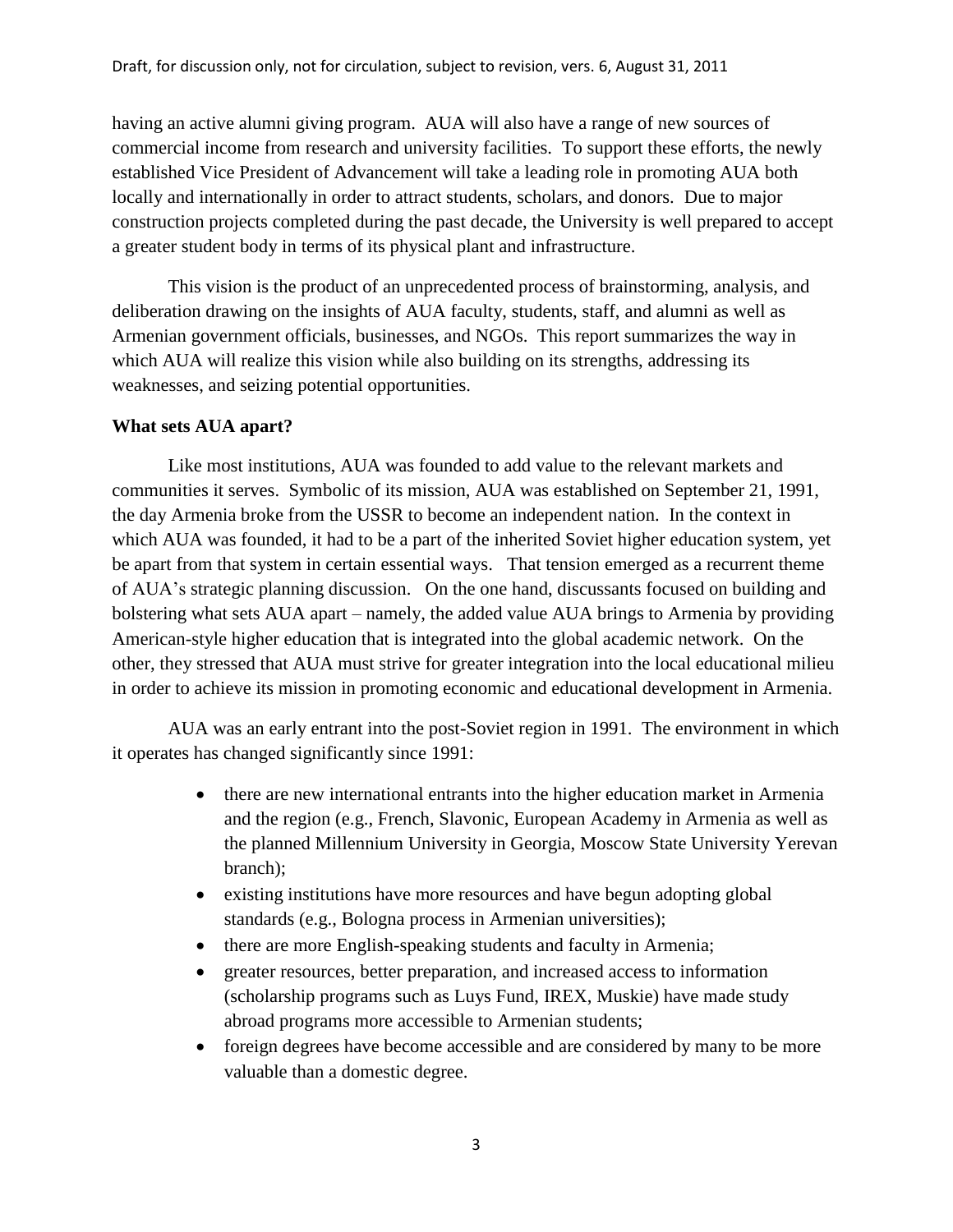having an active alumni giving program. AUA will also have a range of new sources of commercial income from research and university facilities. To support these efforts, the newly established Vice President of Advancement will take a leading role in promoting AUA both locally and internationally in order to attract students, scholars, and donors. Due to major construction projects completed during the past decade, the University is well prepared to accept a greater student body in terms of its physical plant and infrastructure.

This vision is the product of an unprecedented process of brainstorming, analysis, and deliberation drawing on the insights of AUA faculty, students, staff, and alumni as well as Armenian government officials, businesses, and NGOs. This report summarizes the way in which AUA will realize this vision while also building on its strengths, addressing its weaknesses, and seizing potential opportunities.

# **What sets AUA apart?**

Like most institutions, AUA was founded to add value to the relevant markets and communities it serves. Symbolic of its mission, AUA was established on September 21, 1991, the day Armenia broke from the USSR to become an independent nation. In the context in which AUA was founded, it had to be a part of the inherited Soviet higher education system, yet be apart from that system in certain essential ways. That tension emerged as a recurrent theme of AUA's strategic planning discussion. On the one hand, discussants focused on building and bolstering what sets AUA apart – namely, the added value AUA brings to Armenia by providing American-style higher education that is integrated into the global academic network. On the other, they stressed that AUA must strive for greater integration into the local educational milieu in order to achieve its mission in promoting economic and educational development in Armenia.

AUA was an early entrant into the post-Soviet region in 1991. The environment in which it operates has changed significantly since 1991:

- there are new international entrants into the higher education market in Armenia and the region (e.g., French, Slavonic, European Academy in Armenia as well as the planned Millennium University in Georgia, Moscow State University Yerevan branch);
- existing institutions have more resources and have begun adopting global standards (e.g., Bologna process in Armenian universities);
- there are more English-speaking students and faculty in Armenia;
- greater resources, better preparation, and increased access to information (scholarship programs such as Luys Fund, IREX, Muskie) have made study abroad programs more accessible to Armenian students;
- foreign degrees have become accessible and are considered by many to be more valuable than a domestic degree.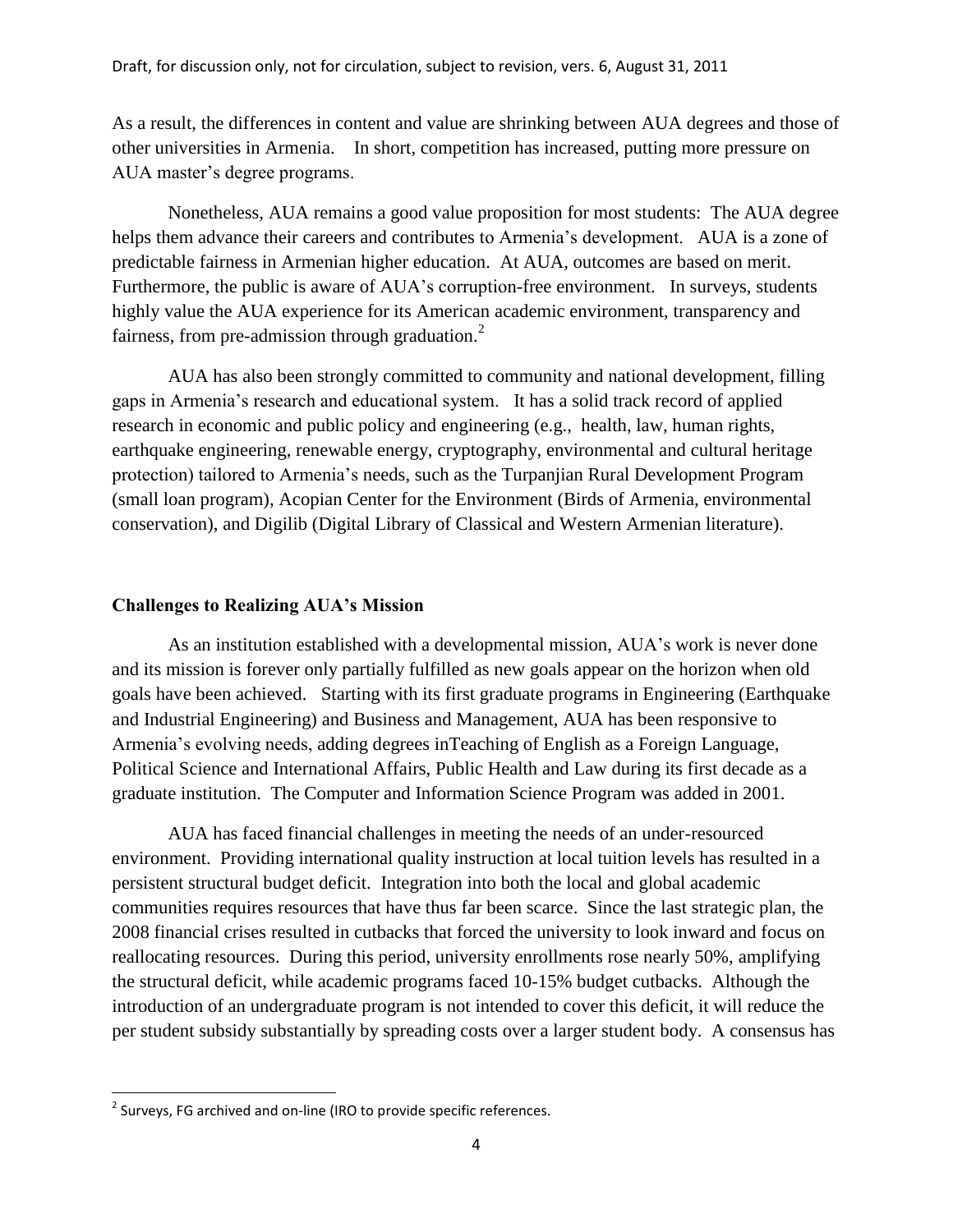As a result, the differences in content and value are shrinking between AUA degrees and those of other universities in Armenia. In short, competition has increased, putting more pressure on AUA master's degree programs.

Nonetheless, AUA remains a good value proposition for most students: The AUA degree helps them advance their careers and contributes to Armenia's development. AUA is a zone of predictable fairness in Armenian higher education. At AUA, outcomes are based on merit. Furthermore, the public is aware of AUA's corruption-free environment. In surveys, students highly value the AUA experience for its American academic environment, transparency and fairness, from pre-admission through graduation. $2$ 

AUA has also been strongly committed to community and national development, filling gaps in Armenia's research and educational system. It has a solid track record of applied research in economic and public policy and engineering (e.g., health, law, human rights, earthquake engineering, renewable energy, cryptography, environmental and cultural heritage protection) tailored to Armenia's needs, such as the Turpanjian Rural Development Program (small loan program), Acopian Center for the Environment (Birds of Armenia, environmental conservation), and Digilib (Digital Library of Classical and Western Armenian literature).

## **Challenges to Realizing AUA's Mission**

As an institution established with a developmental mission, AUA's work is never done and its mission is forever only partially fulfilled as new goals appear on the horizon when old goals have been achieved. Starting with its first graduate programs in Engineering (Earthquake and Industrial Engineering) and Business and Management, AUA has been responsive to Armenia's evolving needs, adding degrees inTeaching of English as a Foreign Language, Political Science and International Affairs, Public Health and Law during its first decade as a graduate institution. The Computer and Information Science Program was added in 2001.

AUA has faced financial challenges in meeting the needs of an under-resourced environment. Providing international quality instruction at local tuition levels has resulted in a persistent structural budget deficit. Integration into both the local and global academic communities requires resources that have thus far been scarce. Since the last strategic plan, the 2008 financial crises resulted in cutbacks that forced the university to look inward and focus on reallocating resources. During this period, university enrollments rose nearly 50%, amplifying the structural deficit, while academic programs faced 10-15% budget cutbacks. Although the introduction of an undergraduate program is not intended to cover this deficit, it will reduce the per student subsidy substantially by spreading costs over a larger student body. A consensus has

 $\overline{\phantom{a}}$ 

 $2$  Surveys, FG archived and on-line (IRO to provide specific references.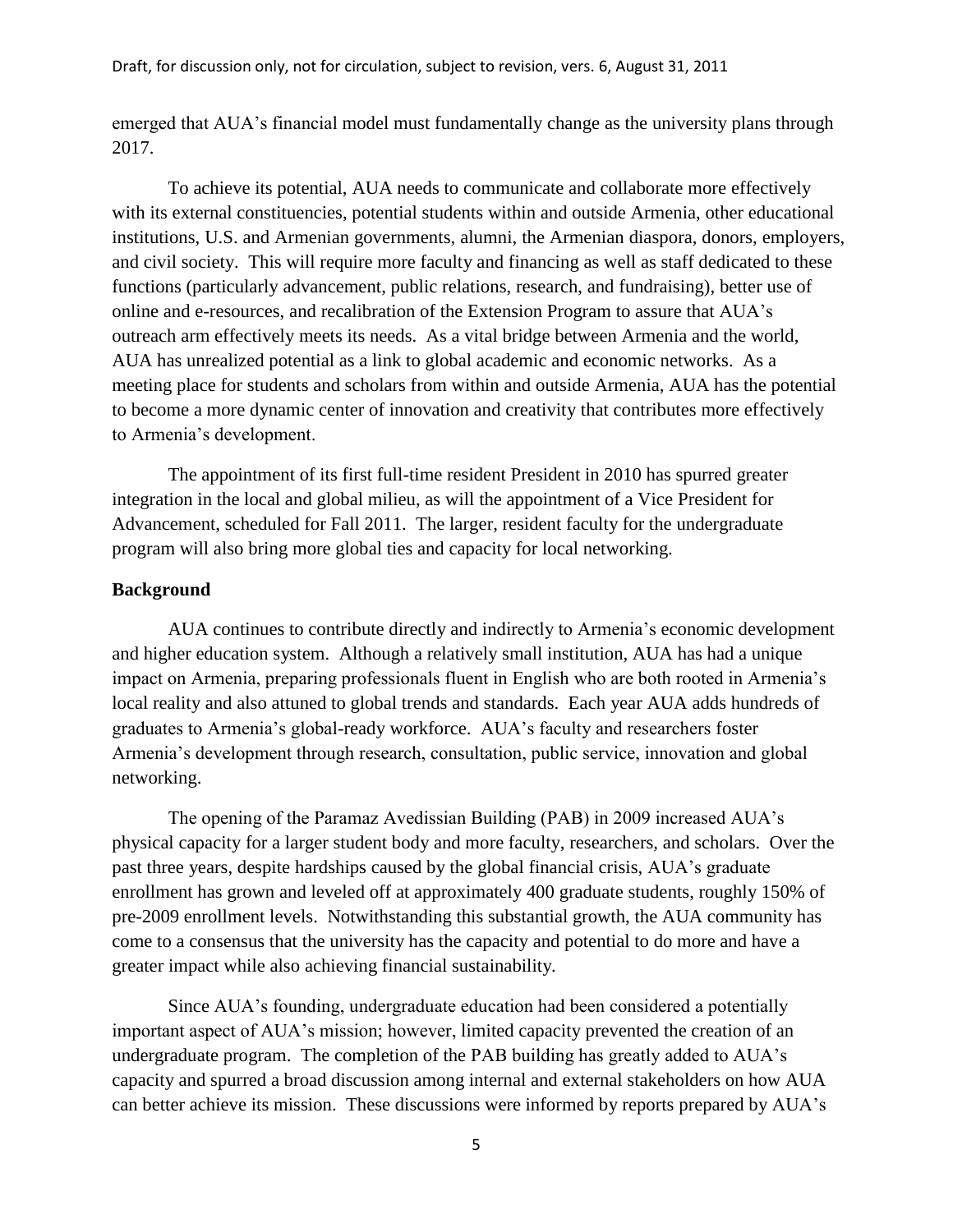emerged that AUA's financial model must fundamentally change as the university plans through 2017.

To achieve its potential, AUA needs to communicate and collaborate more effectively with its external constituencies, potential students within and outside Armenia, other educational institutions, U.S. and Armenian governments, alumni, the Armenian diaspora, donors, employers, and civil society. This will require more faculty and financing as well as staff dedicated to these functions (particularly advancement, public relations, research, and fundraising), better use of online and e-resources, and recalibration of the Extension Program to assure that AUA's outreach arm effectively meets its needs. As a vital bridge between Armenia and the world, AUA has unrealized potential as a link to global academic and economic networks. As a meeting place for students and scholars from within and outside Armenia, AUA has the potential to become a more dynamic center of innovation and creativity that contributes more effectively to Armenia's development.

The appointment of its first full-time resident President in 2010 has spurred greater integration in the local and global milieu, as will the appointment of a Vice President for Advancement, scheduled for Fall 2011. The larger, resident faculty for the undergraduate program will also bring more global ties and capacity for local networking.

### **Background**

AUA continues to contribute directly and indirectly to Armenia's economic development and higher education system. Although a relatively small institution, AUA has had a unique impact on Armenia, preparing professionals fluent in English who are both rooted in Armenia's local reality and also attuned to global trends and standards. Each year AUA adds hundreds of graduates to Armenia's global-ready workforce. AUA's faculty and researchers foster Armenia's development through research, consultation, public service, innovation and global networking.

The opening of the Paramaz Avedissian Building (PAB) in 2009 increased AUA's physical capacity for a larger student body and more faculty, researchers, and scholars. Over the past three years, despite hardships caused by the global financial crisis, AUA's graduate enrollment has grown and leveled off at approximately 400 graduate students, roughly 150% of pre-2009 enrollment levels. Notwithstanding this substantial growth, the AUA community has come to a consensus that the university has the capacity and potential to do more and have a greater impact while also achieving financial sustainability.

Since AUA's founding, undergraduate education had been considered a potentially important aspect of AUA's mission; however, limited capacity prevented the creation of an undergraduate program. The completion of the PAB building has greatly added to AUA's capacity and spurred a broad discussion among internal and external stakeholders on how AUA can better achieve its mission. These discussions were informed by reports prepared by AUA's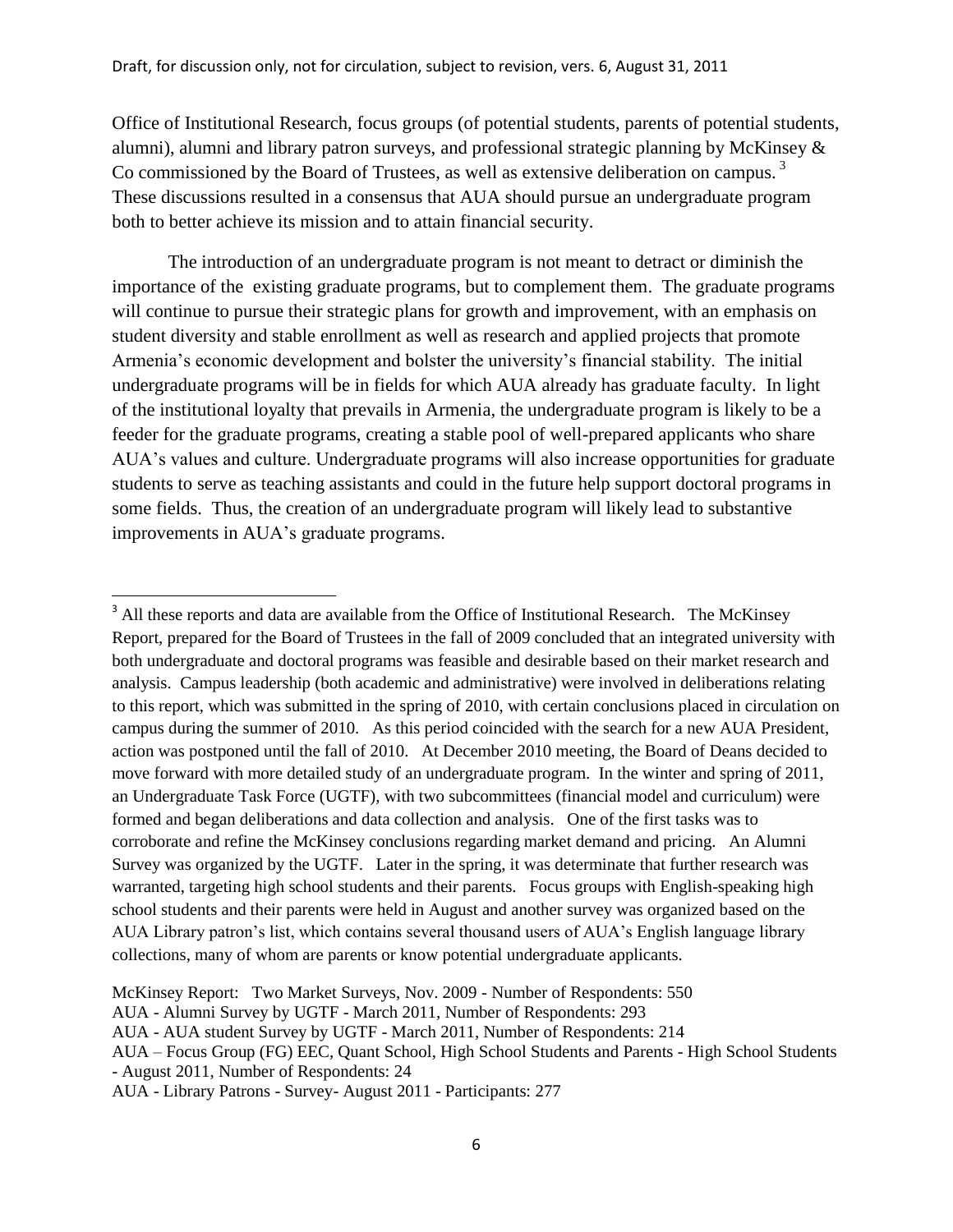Office of Institutional Research, focus groups (of potential students, parents of potential students, alumni), alumni and library patron surveys, and professional strategic planning by McKinsey & Co commissioned by the Board of Trustees, as well as extensive deliberation on campus.<sup>3</sup> These discussions resulted in a consensus that AUA should pursue an undergraduate program both to better achieve its mission and to attain financial security.

The introduction of an undergraduate program is not meant to detract or diminish the importance of the existing graduate programs, but to complement them. The graduate programs will continue to pursue their strategic plans for growth and improvement, with an emphasis on student diversity and stable enrollment as well as research and applied projects that promote Armenia's economic development and bolster the university's financial stability. The initial undergraduate programs will be in fields for which AUA already has graduate faculty. In light of the institutional loyalty that prevails in Armenia, the undergraduate program is likely to be a feeder for the graduate programs, creating a stable pool of well-prepared applicants who share AUA's values and culture. Undergraduate programs will also increase opportunities for graduate students to serve as teaching assistants and could in the future help support doctoral programs in some fields. Thus, the creation of an undergraduate program will likely lead to substantive improvements in AUA's graduate programs.

 $\overline{a}$ 

<sup>&</sup>lt;sup>3</sup> All these reports and data are available from the Office of Institutional Research. The McKinsey Report, prepared for the Board of Trustees in the fall of 2009 concluded that an integrated university with both undergraduate and doctoral programs was feasible and desirable based on their market research and analysis. Campus leadership (both academic and administrative) were involved in deliberations relating to this report, which was submitted in the spring of 2010, with certain conclusions placed in circulation on campus during the summer of 2010. As this period coincided with the search for a new AUA President, action was postponed until the fall of 2010. At December 2010 meeting, the Board of Deans decided to move forward with more detailed study of an undergraduate program. In the winter and spring of 2011, an Undergraduate Task Force (UGTF), with two subcommittees (financial model and curriculum) were formed and began deliberations and data collection and analysis. One of the first tasks was to corroborate and refine the McKinsey conclusions regarding market demand and pricing. An Alumni Survey was organized by the UGTF. Later in the spring, it was determinate that further research was warranted, targeting high school students and their parents. Focus groups with English-speaking high school students and their parents were held in August and another survey was organized based on the AUA Library patron's list, which contains several thousand users of AUA's English language library collections, many of whom are parents or know potential undergraduate applicants.

McKinsey Report: Two Market Surveys, Nov. 2009 - Number of Respondents: 550

AUA - Alumni Survey by UGTF - March 2011, Number of Respondents: 293

AUA - AUA student Survey by UGTF - March 2011, Number of Respondents: 214

AUA – Focus Group (FG) EEC, Quant School, High School Students and Parents - High School Students - August 2011, Number of Respondents: 24

AUA - Library Patrons - Survey- August 2011 - Participants: 277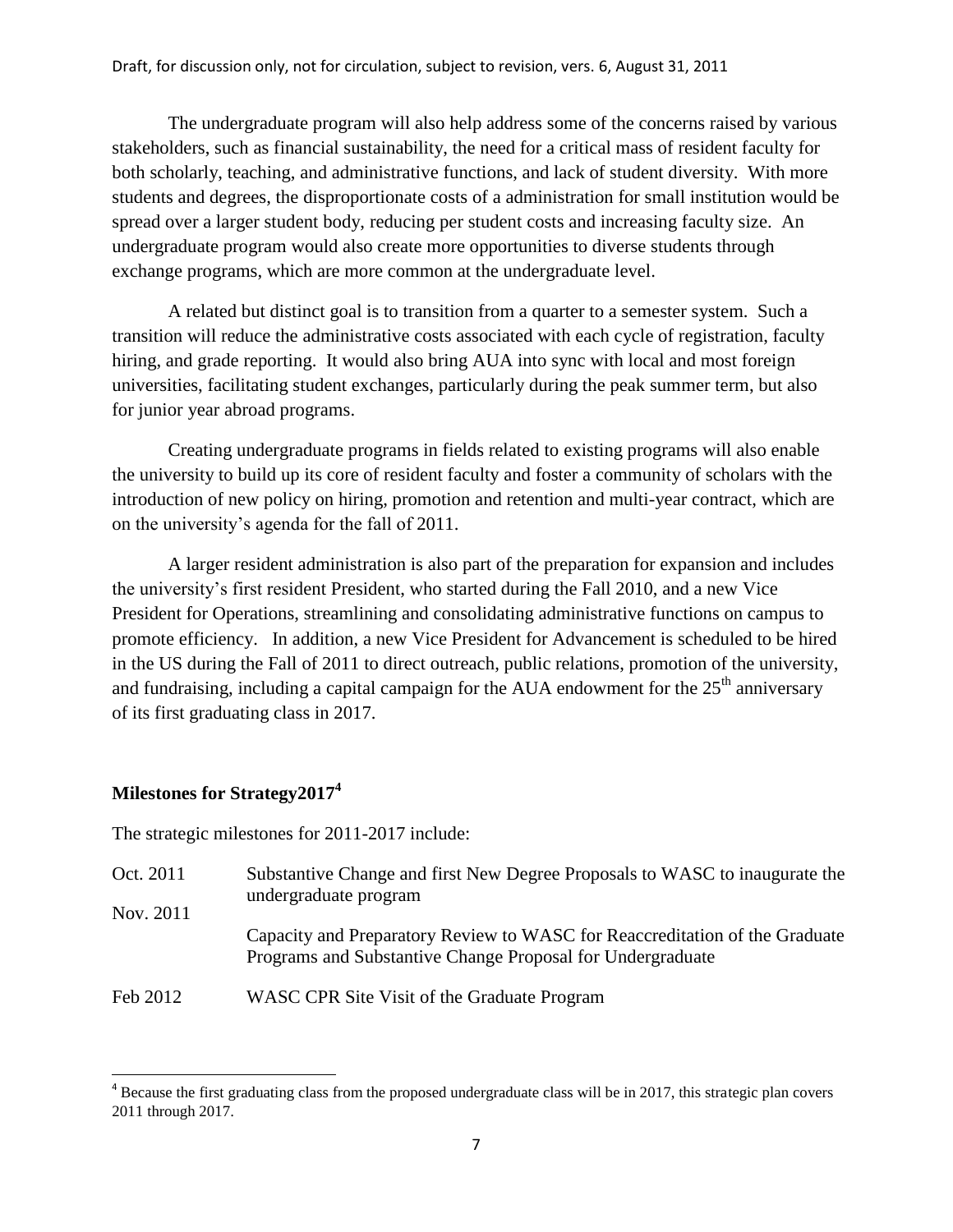The undergraduate program will also help address some of the concerns raised by various stakeholders, such as financial sustainability, the need for a critical mass of resident faculty for both scholarly, teaching, and administrative functions, and lack of student diversity. With more students and degrees, the disproportionate costs of a administration for small institution would be spread over a larger student body, reducing per student costs and increasing faculty size. An undergraduate program would also create more opportunities to diverse students through exchange programs, which are more common at the undergraduate level.

A related but distinct goal is to transition from a quarter to a semester system. Such a transition will reduce the administrative costs associated with each cycle of registration, faculty hiring, and grade reporting. It would also bring AUA into sync with local and most foreign universities, facilitating student exchanges, particularly during the peak summer term, but also for junior year abroad programs.

Creating undergraduate programs in fields related to existing programs will also enable the university to build up its core of resident faculty and foster a community of scholars with the introduction of new policy on hiring, promotion and retention and multi-year contract, which are on the university's agenda for the fall of 2011.

A larger resident administration is also part of the preparation for expansion and includes the university's first resident President, who started during the Fall 2010, and a new Vice President for Operations, streamlining and consolidating administrative functions on campus to promote efficiency. In addition, a new Vice President for Advancement is scheduled to be hired in the US during the Fall of 2011 to direct outreach, public relations, promotion of the university, and fundraising, including a capital campaign for the AUA endowment for the  $25<sup>th</sup>$  anniversary of its first graduating class in 2017.

# **Milestones for Strategy2017<sup>4</sup>**

l

The strategic milestones for 2011-2017 include:

- Oct. 2011 Nov. 2011 Substantive Change and first New Degree Proposals to WASC to inaugurate the undergraduate program Capacity and Preparatory Review to WASC for Reaccreditation of the Graduate Programs and Substantive Change Proposal for Undergraduate
- Feb 2012 WASC CPR Site Visit of the Graduate Program

 $4$  Because the first graduating class from the proposed undergraduate class will be in 2017, this strategic plan covers 2011 through 2017.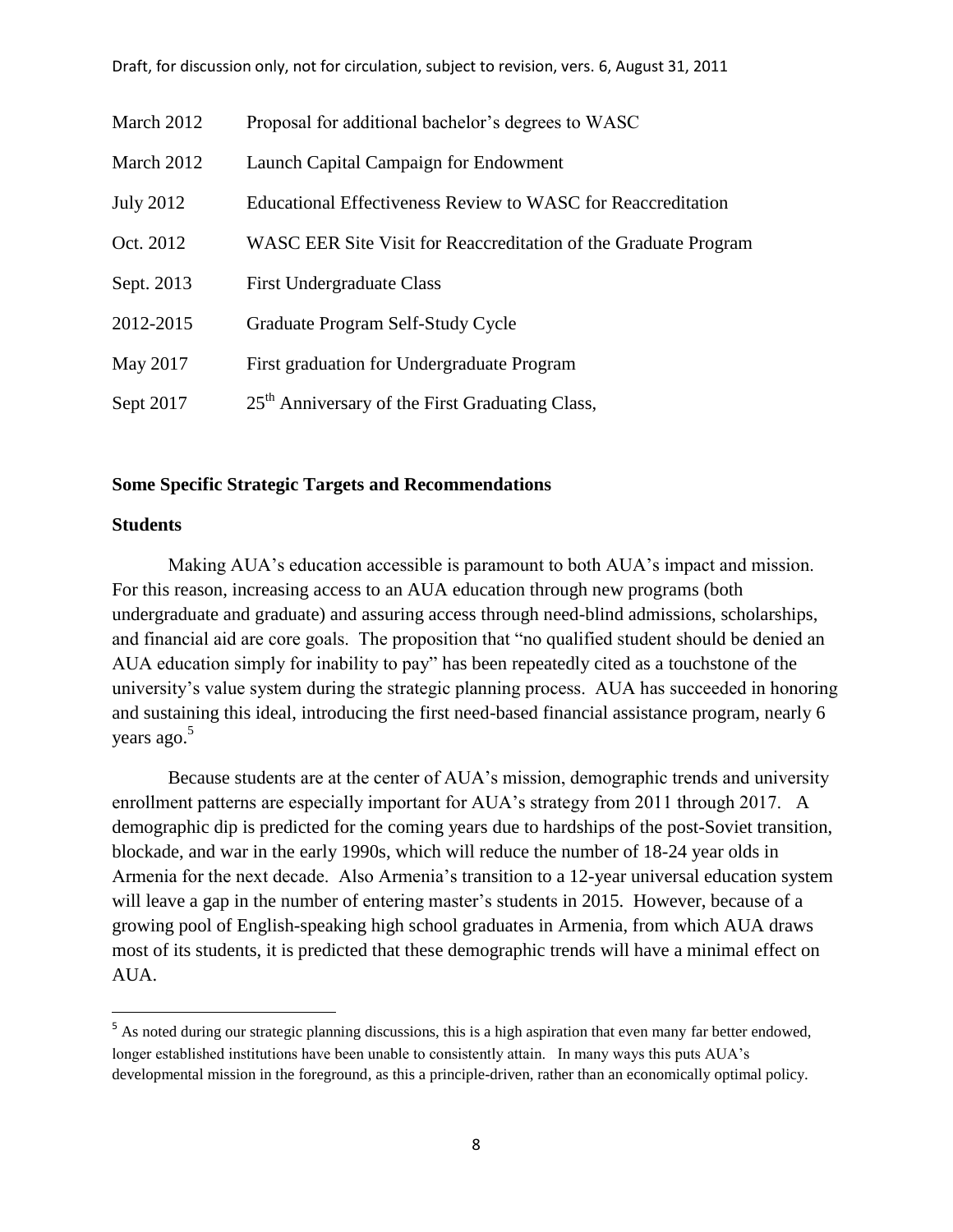| March 2012       | Proposal for additional bachelor's degrees to WASC              |
|------------------|-----------------------------------------------------------------|
| March 2012       | Launch Capital Campaign for Endowment                           |
| <b>July 2012</b> | Educational Effectiveness Review to WASC for Reaccreditation    |
| Oct. 2012        | WASC EER Site Visit for Reaccreditation of the Graduate Program |
| Sept. 2013       | <b>First Undergraduate Class</b>                                |
| 2012-2015        | Graduate Program Self-Study Cycle                               |
| May 2017         | First graduation for Undergraduate Program                      |
| Sept 2017        | 25 <sup>th</sup> Anniversary of the First Graduating Class,     |

## **Some Specific Strategic Targets and Recommendations**

# **Students**

 $\overline{a}$ 

Making AUA's education accessible is paramount to both AUA's impact and mission. For this reason, increasing access to an AUA education through new programs (both undergraduate and graduate) and assuring access through need-blind admissions, scholarships, and financial aid are core goals. The proposition that "no qualified student should be denied an AUA education simply for inability to pay" has been repeatedly cited as a touchstone of the university's value system during the strategic planning process. AUA has succeeded in honoring and sustaining this ideal, introducing the first need-based financial assistance program, nearly 6 years ago. 5

Because students are at the center of AUA's mission, demographic trends and university enrollment patterns are especially important for AUA's strategy from 2011 through 2017. A demographic dip is predicted for the coming years due to hardships of the post-Soviet transition, blockade, and war in the early 1990s, which will reduce the number of 18-24 year olds in Armenia for the next decade. Also Armenia's transition to a 12-year universal education system will leave a gap in the number of entering master's students in 2015. However, because of a growing pool of English-speaking high school graduates in Armenia, from which AUA draws most of its students, it is predicted that these demographic trends will have a minimal effect on AUA.

<sup>&</sup>lt;sup>5</sup> As noted during our strategic planning discussions, this is a high aspiration that even many far better endowed, longer established institutions have been unable to consistently attain. In many ways this puts AUA's developmental mission in the foreground, as this a principle-driven, rather than an economically optimal policy.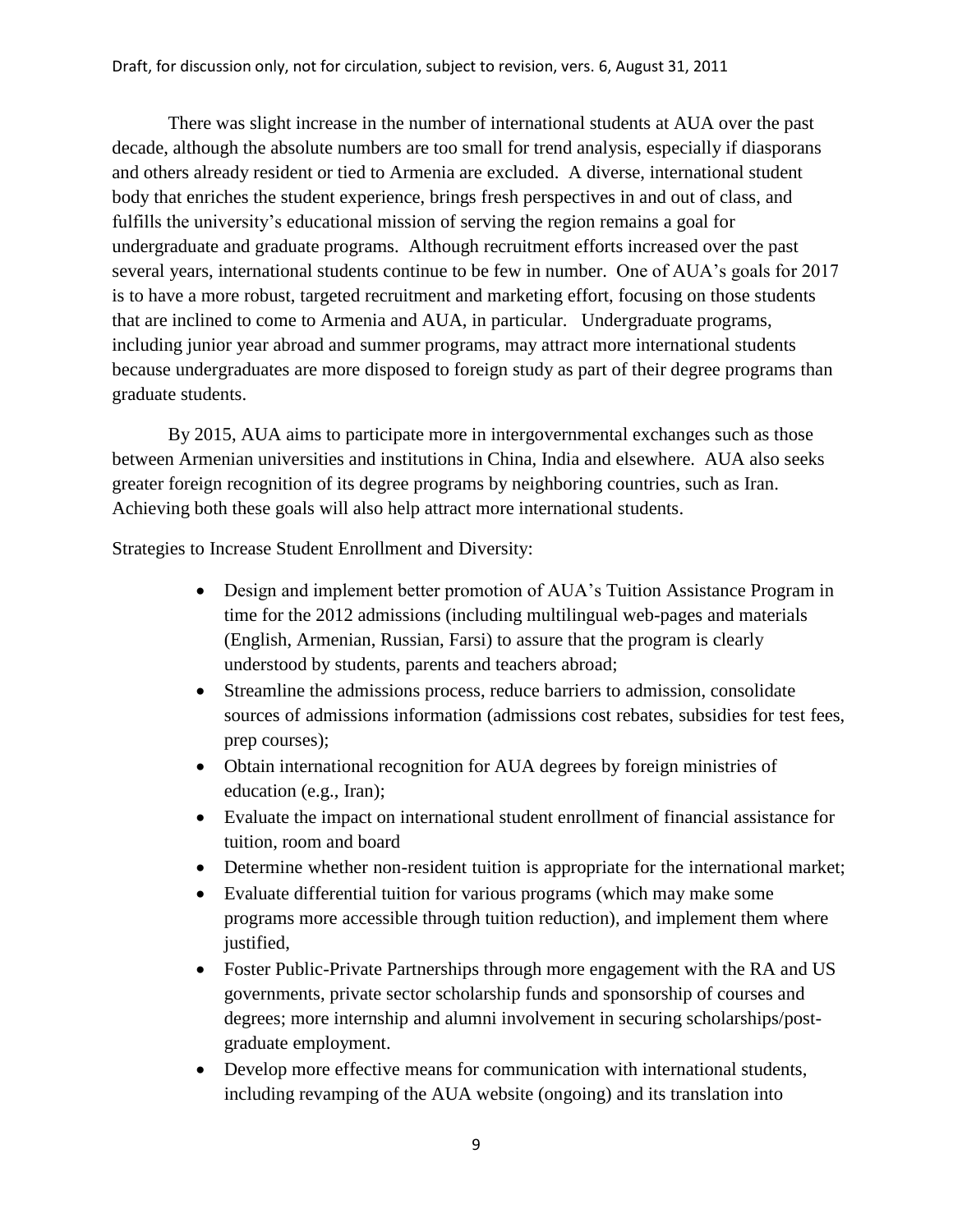There was slight increase in the number of international students at AUA over the past decade, although the absolute numbers are too small for trend analysis, especially if diasporans and others already resident or tied to Armenia are excluded. A diverse, international student body that enriches the student experience, brings fresh perspectives in and out of class, and fulfills the university's educational mission of serving the region remains a goal for undergraduate and graduate programs. Although recruitment efforts increased over the past several years, international students continue to be few in number. One of AUA's goals for 2017 is to have a more robust, targeted recruitment and marketing effort, focusing on those students that are inclined to come to Armenia and AUA, in particular. Undergraduate programs, including junior year abroad and summer programs, may attract more international students because undergraduates are more disposed to foreign study as part of their degree programs than graduate students.

By 2015, AUA aims to participate more in intergovernmental exchanges such as those between Armenian universities and institutions in China, India and elsewhere. AUA also seeks greater foreign recognition of its degree programs by neighboring countries, such as Iran. Achieving both these goals will also help attract more international students.

Strategies to Increase Student Enrollment and Diversity:

- Design and implement better promotion of AUA's Tuition Assistance Program in time for the 2012 admissions (including multilingual web-pages and materials (English, Armenian, Russian, Farsi) to assure that the program is clearly understood by students, parents and teachers abroad;
- Streamline the admissions process, reduce barriers to admission, consolidate sources of admissions information (admissions cost rebates, subsidies for test fees, prep courses);
- Obtain international recognition for AUA degrees by foreign ministries of education (e.g., Iran);
- Evaluate the impact on international student enrollment of financial assistance for tuition, room and board
- Determine whether non-resident tuition is appropriate for the international market;
- Evaluate differential tuition for various programs (which may make some programs more accessible through tuition reduction), and implement them where justified.
- Foster Public-Private Partnerships through more engagement with the RA and US governments, private sector scholarship funds and sponsorship of courses and degrees; more internship and alumni involvement in securing scholarships/postgraduate employment.
- Develop more effective means for communication with international students, including revamping of the AUA website (ongoing) and its translation into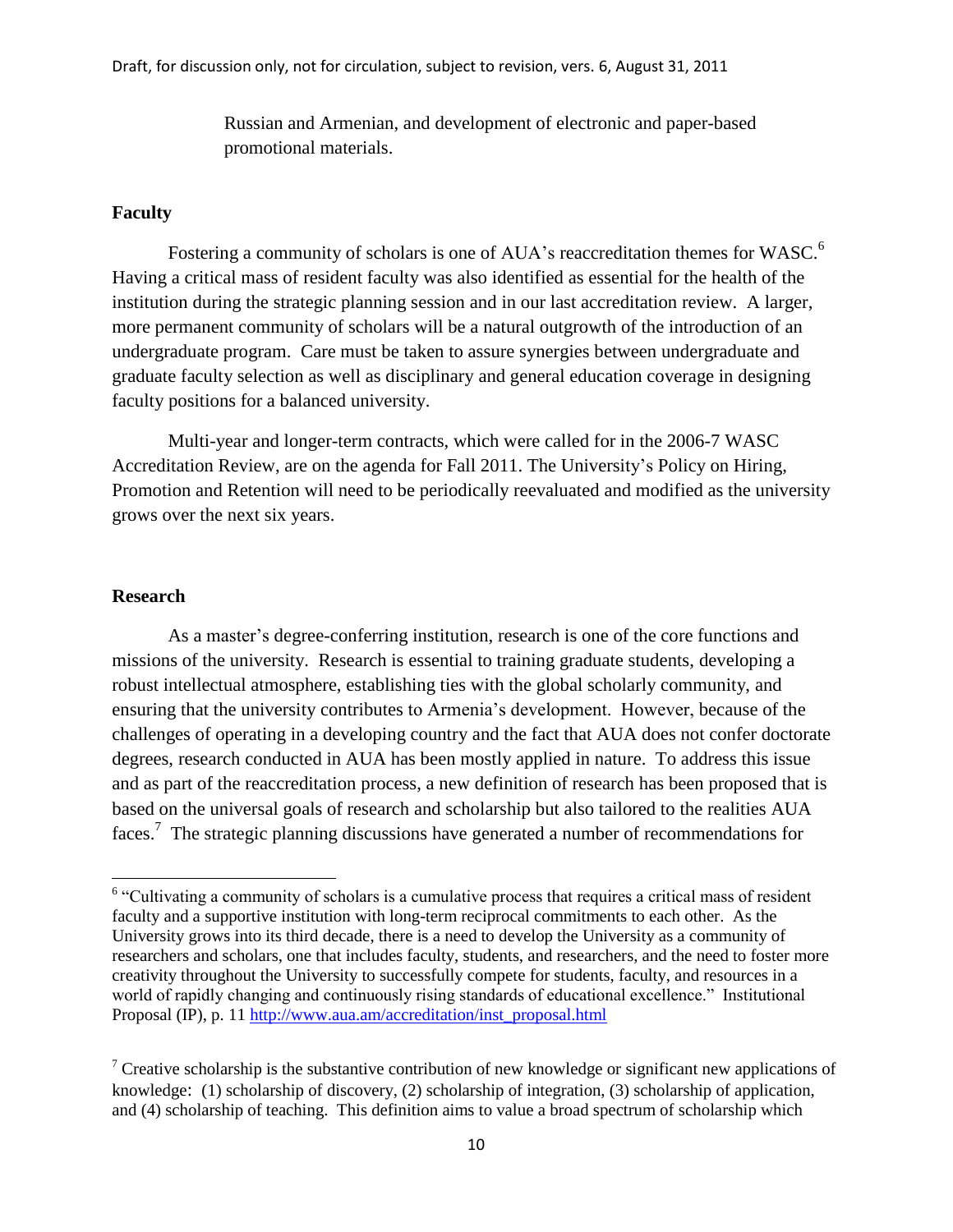Russian and Armenian, and development of electronic and paper-based promotional materials.

## **Faculty**

Fostering a community of scholars is one of AUA's reaccreditation themes for WASC.<sup>6</sup> Having a critical mass of resident faculty was also identified as essential for the health of the institution during the strategic planning session and in our last accreditation review. A larger, more permanent community of scholars will be a natural outgrowth of the introduction of an undergraduate program. Care must be taken to assure synergies between undergraduate and graduate faculty selection as well as disciplinary and general education coverage in designing faculty positions for a balanced university.

Multi-year and longer-term contracts, which were called for in the 2006-7 WASC Accreditation Review, are on the agenda for Fall 2011. The University's Policy on Hiring, Promotion and Retention will need to be periodically reevaluated and modified as the university grows over the next six years.

#### **Research**

As a master's degree-conferring institution, research is one of the core functions and missions of the university. Research is essential to training graduate students, developing a robust intellectual atmosphere, establishing ties with the global scholarly community, and ensuring that the university contributes to Armenia's development. However, because of the challenges of operating in a developing country and the fact that AUA does not confer doctorate degrees, research conducted in AUA has been mostly applied in nature. To address this issue and as part of the reaccreditation process, a new definition of research has been proposed that is based on the universal goals of research and scholarship but also tailored to the realities AUA faces.<sup>7</sup> The strategic planning discussions have generated a number of recommendations for

<sup>&</sup>lt;sup>6</sup> "Cultivating a community of scholars is a cumulative process that requires a critical mass of resident faculty and a supportive institution with long-term reciprocal commitments to each other. As the University grows into its third decade, there is a need to develop the University as a community of researchers and scholars, one that includes faculty, students, and researchers, and the need to foster more creativity throughout the University to successfully compete for students, faculty, and resources in a world of rapidly changing and continuously rising standards of educational excellence." Institutional Proposal (IP), p. 11 [http://www.aua.am/accreditation/inst\\_proposal.html](http://www.aua.am/accreditation/inst_proposal.html)

<sup>&</sup>lt;sup>7</sup> Creative scholarship is the substantive contribution of new knowledge or significant new applications of knowledge: (1) scholarship of discovery, (2) scholarship of integration, (3) scholarship of application, and (4) scholarship of teaching. This definition aims to value a broad spectrum of scholarship which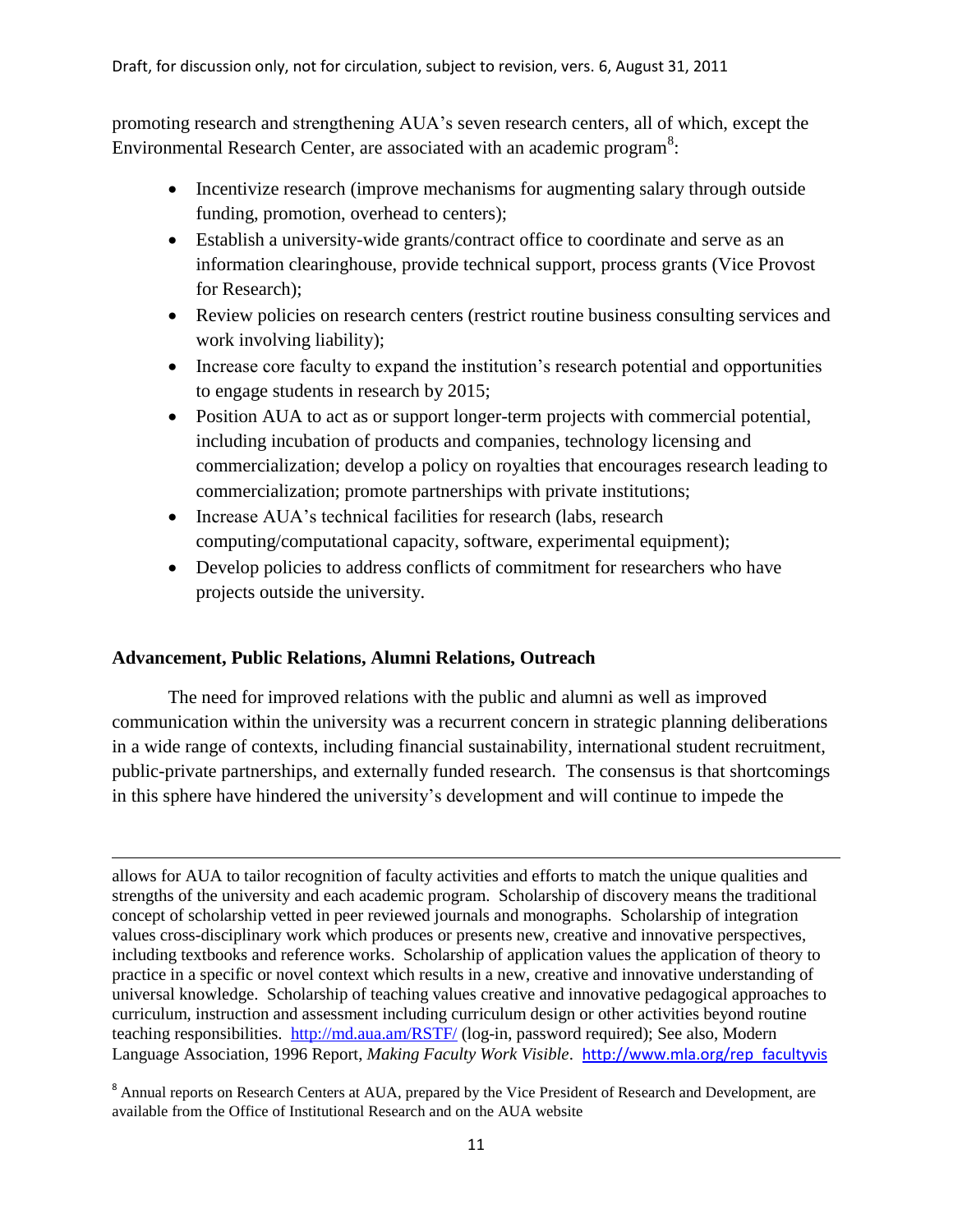promoting research and strengthening AUA's seven research centers, all of which, except the Environmental Research Center, are associated with an academic program<sup>8</sup>:

- Incentivize research (improve mechanisms for augmenting salary through outside funding, promotion, overhead to centers);
- Establish a university-wide grants/contract office to coordinate and serve as an information clearinghouse, provide technical support, process grants (Vice Provost for Research);
- Review policies on research centers (restrict routine business consulting services and work involving liability);
- Increase core faculty to expand the institution's research potential and opportunities to engage students in research by 2015;
- Position AUA to act as or support longer-term projects with commercial potential, including incubation of products and companies, technology licensing and commercialization; develop a policy on royalties that encourages research leading to commercialization; promote partnerships with private institutions;
- Increase AUA's technical facilities for research (labs, research computing/computational capacity, software, experimental equipment);
- Develop policies to address conflicts of commitment for researchers who have projects outside the university.

# **Advancement, Public Relations, Alumni Relations, Outreach**

The need for improved relations with the public and alumni as well as improved communication within the university was a recurrent concern in strategic planning deliberations in a wide range of contexts, including financial sustainability, international student recruitment, public-private partnerships, and externally funded research. The consensus is that shortcomings in this sphere have hindered the university's development and will continue to impede the

 $\overline{a}$ allows for AUA to tailor recognition of faculty activities and efforts to match the unique qualities and strengths of the university and each academic program. Scholarship of discovery means the traditional concept of scholarship vetted in peer reviewed journals and monographs. Scholarship of integration values cross-disciplinary work which produces or presents new, creative and innovative perspectives, including textbooks and reference works. Scholarship of application values the application of theory to practice in a specific or novel context which results in a new, creative and innovative understanding of universal knowledge. Scholarship of teaching values creative and innovative pedagogical approaches to curriculum, instruction and assessment including curriculum design or other activities beyond routine teaching responsibilities. <http://md.aua.am/RSTF/> (log-in, password required); See also, Modern Language Association, 1996 Report, *Making Faculty Work Visible*. [http://www.mla.org/rep\\_facultyvis](http://www.mla.org/rep_facultyvis)

<sup>&</sup>lt;sup>8</sup> Annual reports on Research Centers at AUA, prepared by the Vice President of Research and Development, are available from the Office of Institutional Research and on the AUA website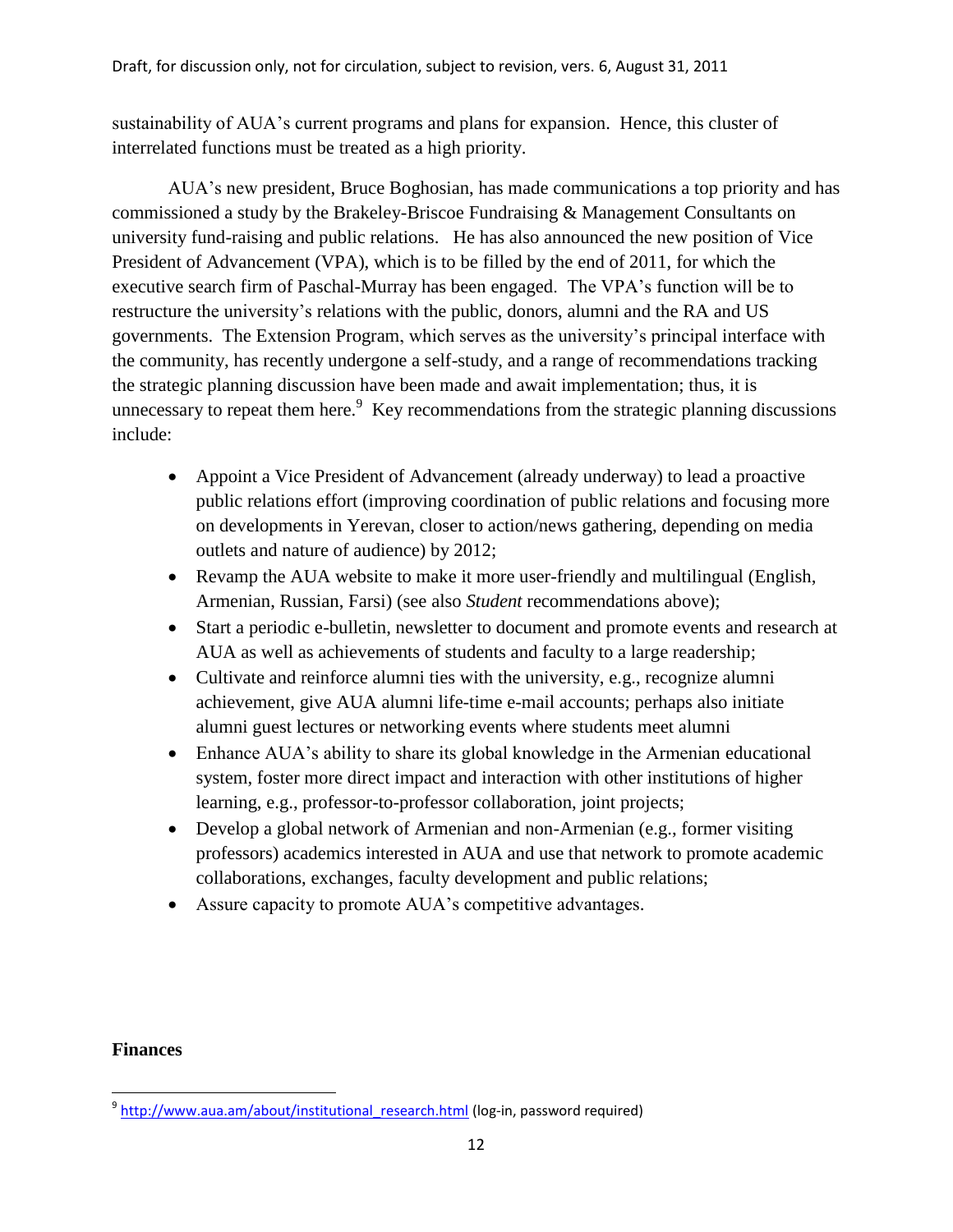sustainability of AUA's current programs and plans for expansion. Hence, this cluster of interrelated functions must be treated as a high priority.

AUA's new president, Bruce Boghosian, has made communications a top priority and has commissioned a study by the Brakeley-Briscoe Fundraising & Management Consultants on university fund-raising and public relations. He has also announced the new position of Vice President of Advancement (VPA), which is to be filled by the end of 2011, for which the executive search firm of Paschal-Murray has been engaged. The VPA's function will be to restructure the university's relations with the public, donors, alumni and the RA and US governments. The Extension Program, which serves as the university's principal interface with the community, has recently undergone a self-study, and a range of recommendations tracking the strategic planning discussion have been made and await implementation; thus, it is unnecessary to repeat them here. $9$  Key recommendations from the strategic planning discussions include:

- Appoint a Vice President of Advancement (already underway) to lead a proactive public relations effort (improving coordination of public relations and focusing more on developments in Yerevan, closer to action/news gathering, depending on media outlets and nature of audience) by 2012;
- Revamp the AUA website to make it more user-friendly and multilingual (English, Armenian, Russian, Farsi) (see also *Student* recommendations above);
- Start a periodic e-bulletin, newsletter to document and promote events and research at AUA as well as achievements of students and faculty to a large readership;
- Cultivate and reinforce alumni ties with the university, e.g., recognize alumni achievement, give AUA alumni life-time e-mail accounts; perhaps also initiate alumni guest lectures or networking events where students meet alumni
- Enhance AUA's ability to share its global knowledge in the Armenian educational system, foster more direct impact and interaction with other institutions of higher learning, e.g., professor-to-professor collaboration, joint projects;
- Develop a global network of Armenian and non-Armenian (e.g., former visiting professors) academics interested in AUA and use that network to promote academic collaborations, exchanges, faculty development and public relations;
- Assure capacity to promote AUA's competitive advantages.

# **Finances**

 $\overline{\phantom{a}}$ <sup>9</sup> http://www.aua.am/about/institutional research.html (log-in, password required)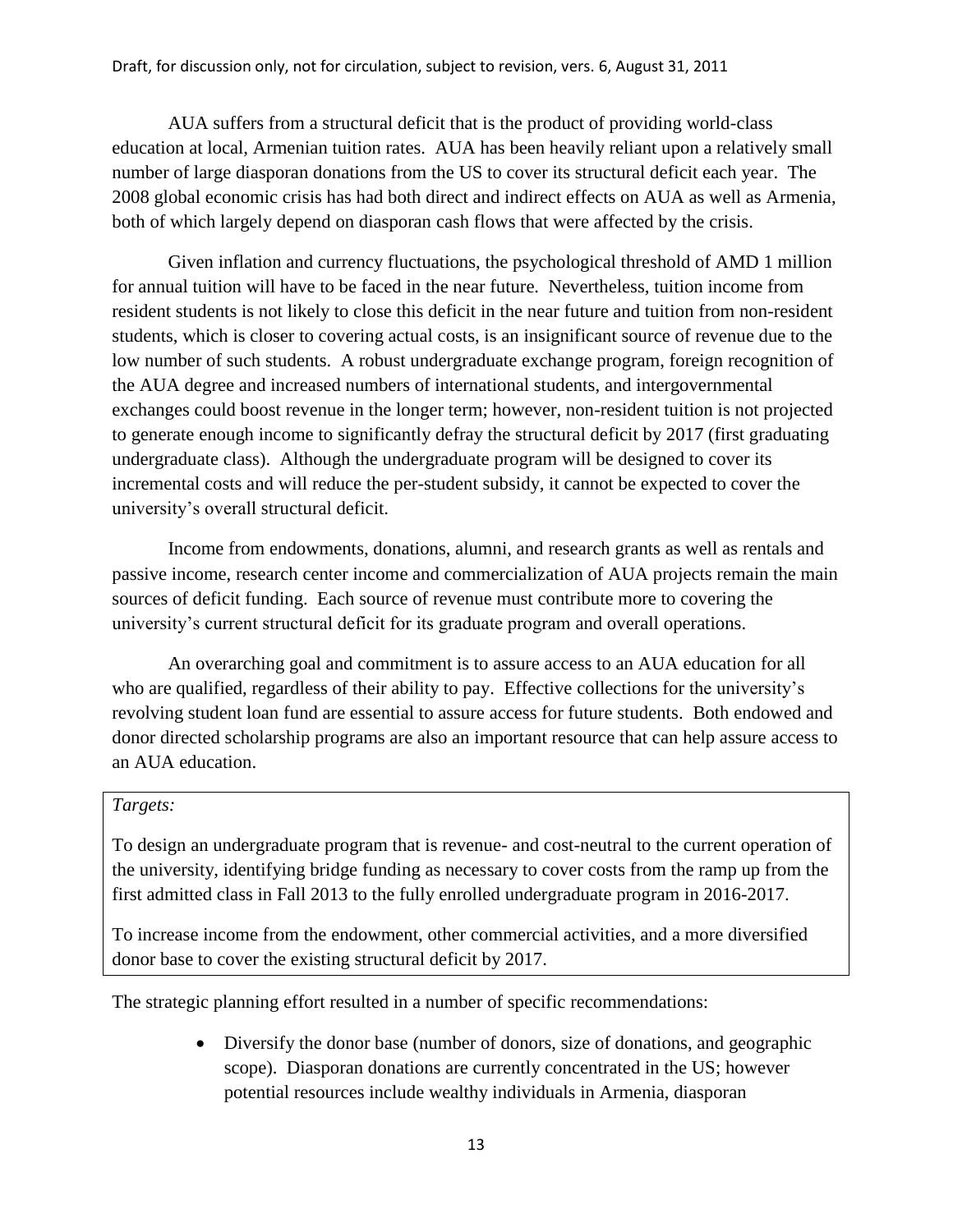AUA suffers from a structural deficit that is the product of providing world-class education at local, Armenian tuition rates. AUA has been heavily reliant upon a relatively small number of large diasporan donations from the US to cover its structural deficit each year. The 2008 global economic crisis has had both direct and indirect effects on AUA as well as Armenia, both of which largely depend on diasporan cash flows that were affected by the crisis.

Given inflation and currency fluctuations, the psychological threshold of AMD 1 million for annual tuition will have to be faced in the near future. Nevertheless, tuition income from resident students is not likely to close this deficit in the near future and tuition from non-resident students, which is closer to covering actual costs, is an insignificant source of revenue due to the low number of such students. A robust undergraduate exchange program, foreign recognition of the AUA degree and increased numbers of international students, and intergovernmental exchanges could boost revenue in the longer term; however, non-resident tuition is not projected to generate enough income to significantly defray the structural deficit by 2017 (first graduating undergraduate class). Although the undergraduate program will be designed to cover its incremental costs and will reduce the per-student subsidy, it cannot be expected to cover the university's overall structural deficit.

Income from endowments, donations, alumni, and research grants as well as rentals and passive income, research center income and commercialization of AUA projects remain the main sources of deficit funding. Each source of revenue must contribute more to covering the university's current structural deficit for its graduate program and overall operations.

An overarching goal and commitment is to assure access to an AUA education for all who are qualified, regardless of their ability to pay. Effective collections for the university's revolving student loan fund are essential to assure access for future students. Both endowed and donor directed scholarship programs are also an important resource that can help assure access to an AUA education.

## *Targets:*

To design an undergraduate program that is revenue- and cost-neutral to the current operation of the university, identifying bridge funding as necessary to cover costs from the ramp up from the first admitted class in Fall 2013 to the fully enrolled undergraduate program in 2016-2017.

To increase income from the endowment, other commercial activities, and a more diversified donor base to cover the existing structural deficit by 2017.

The strategic planning effort resulted in a number of specific recommendations:

 Diversify the donor base (number of donors, size of donations, and geographic scope). Diasporan donations are currently concentrated in the US; however potential resources include wealthy individuals in Armenia, diasporan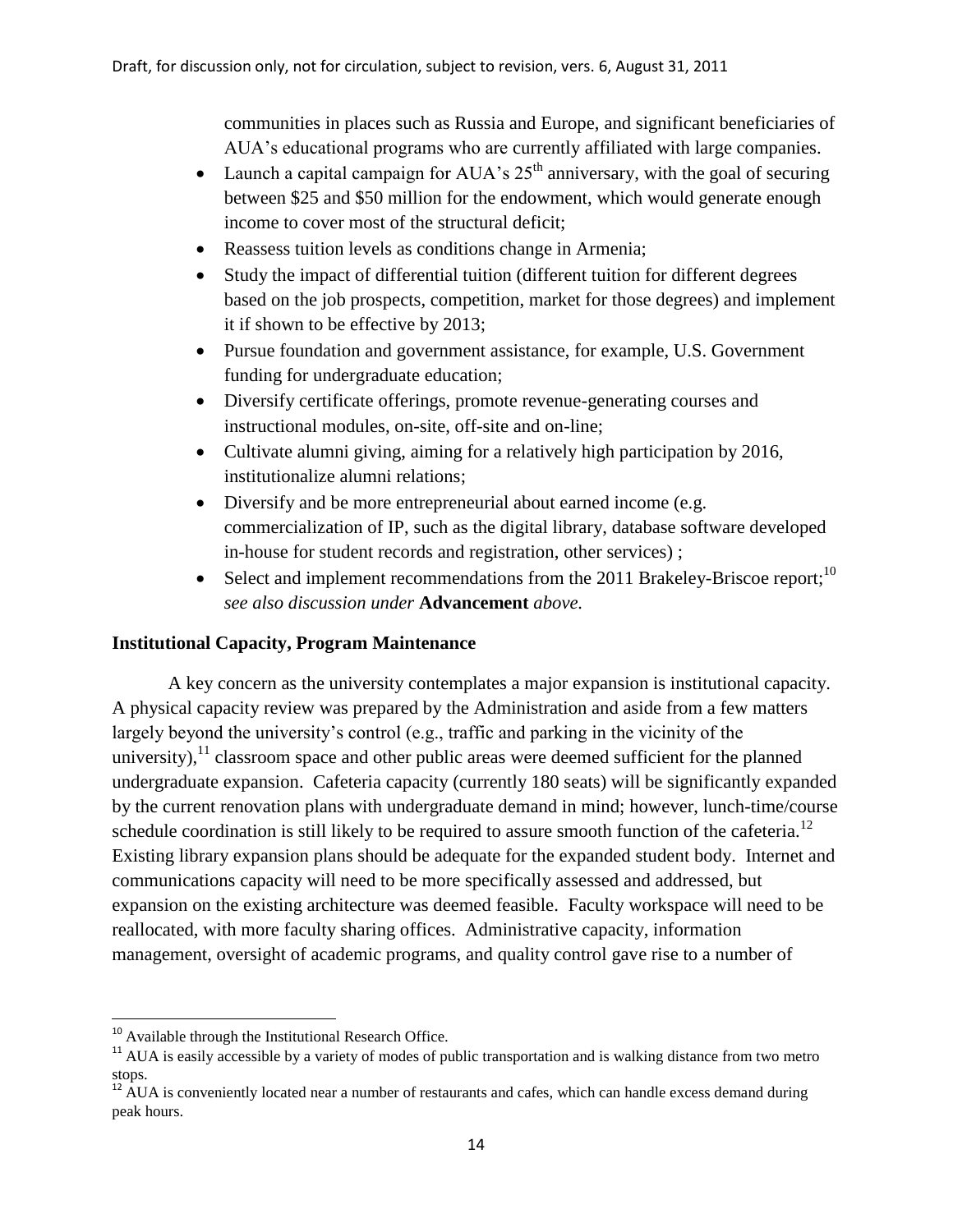communities in places such as Russia and Europe, and significant beneficiaries of AUA's educational programs who are currently affiliated with large companies.

- Launch a capital campaign for AUA's  $25<sup>th</sup>$  anniversary, with the goal of securing between \$25 and \$50 million for the endowment, which would generate enough income to cover most of the structural deficit;
- Reassess tuition levels as conditions change in Armenia;
- Study the impact of differential tuition (different tuition for different degrees based on the job prospects, competition, market for those degrees) and implement it if shown to be effective by 2013;
- Pursue foundation and government assistance, for example, U.S. Government funding for undergraduate education;
- Diversify certificate offerings, promote revenue-generating courses and instructional modules, on-site, off-site and on-line;
- Cultivate alumni giving, aiming for a relatively high participation by 2016, institutionalize alumni relations;
- Diversify and be more entrepreneurial about earned income (e.g. commercialization of IP, such as the digital library, database software developed in-house for student records and registration, other services) ;
- Select and implement recommendations from the 2011 Brakeley-Briscoe report;<sup>10</sup> *see also discussion under* **Advancement** *above.*

# **Institutional Capacity, Program Maintenance**

A key concern as the university contemplates a major expansion is institutional capacity. A physical capacity review was prepared by the Administration and aside from a few matters largely beyond the university's control (e.g., traffic and parking in the vicinity of the university),  $11$  classroom space and other public areas were deemed sufficient for the planned undergraduate expansion. Cafeteria capacity (currently 180 seats) will be significantly expanded by the current renovation plans with undergraduate demand in mind; however, lunch-time/course schedule coordination is still likely to be required to assure smooth function of the cafeteria.<sup>12</sup> Existing library expansion plans should be adequate for the expanded student body. Internet and communications capacity will need to be more specifically assessed and addressed, but expansion on the existing architecture was deemed feasible. Faculty workspace will need to be reallocated, with more faculty sharing offices. Administrative capacity, information management, oversight of academic programs, and quality control gave rise to a number of

l

<sup>&</sup>lt;sup>10</sup> Available through the Institutional Research Office.

<sup>&</sup>lt;sup>11</sup> AUA is easily accessible by a variety of modes of public transportation and is walking distance from two metro stops.

 $12$  AUA is conveniently located near a number of restaurants and cafes, which can handle excess demand during peak hours.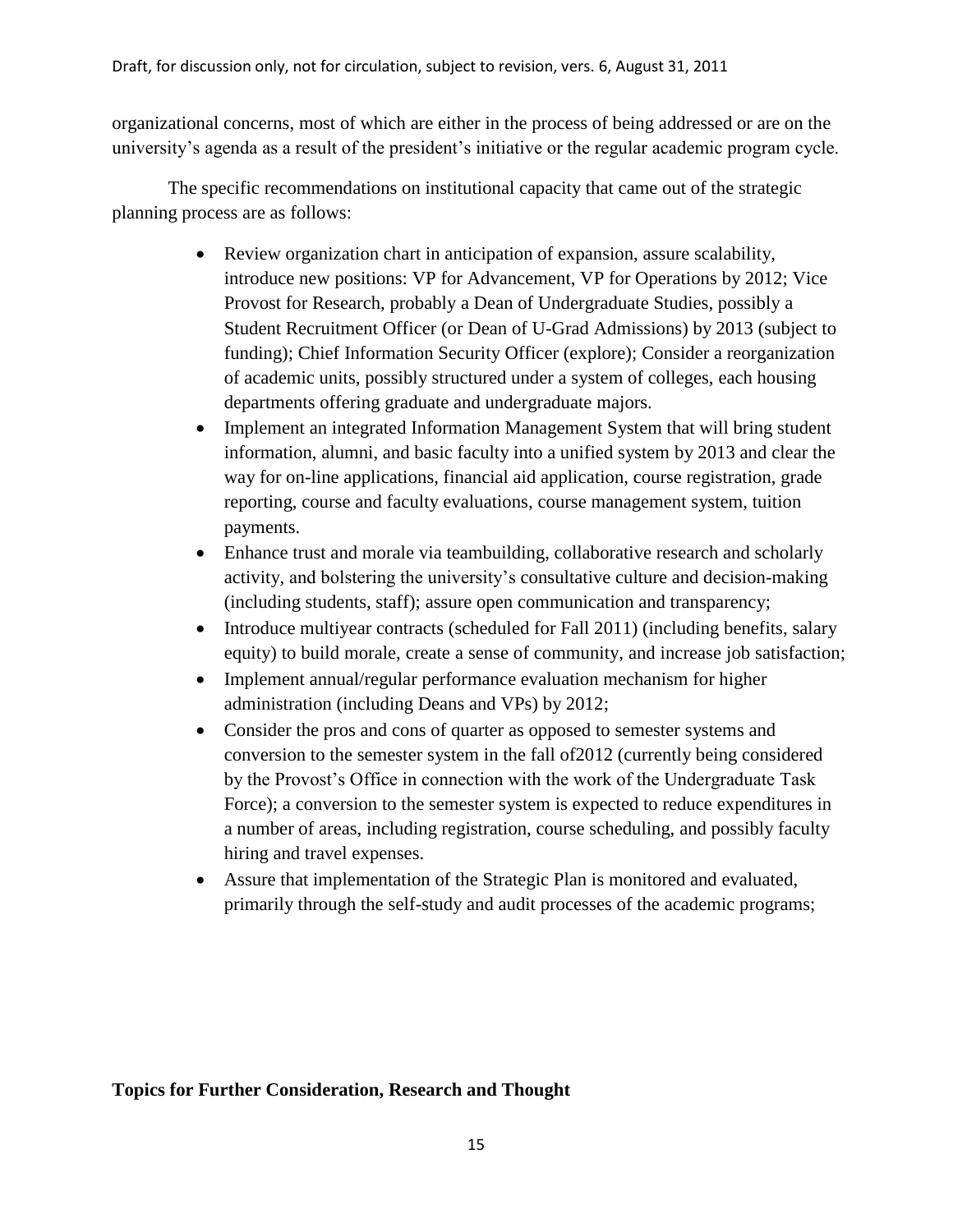organizational concerns, most of which are either in the process of being addressed or are on the university's agenda as a result of the president's initiative or the regular academic program cycle.

The specific recommendations on institutional capacity that came out of the strategic planning process are as follows:

- Review organization chart in anticipation of expansion, assure scalability, introduce new positions: VP for Advancement, VP for Operations by 2012; Vice Provost for Research, probably a Dean of Undergraduate Studies, possibly a Student Recruitment Officer (or Dean of U-Grad Admissions) by 2013 (subject to funding); Chief Information Security Officer (explore); Consider a reorganization of academic units, possibly structured under a system of colleges, each housing departments offering graduate and undergraduate majors.
- Implement an integrated Information Management System that will bring student information, alumni, and basic faculty into a unified system by 2013 and clear the way for on-line applications, financial aid application, course registration, grade reporting, course and faculty evaluations, course management system, tuition payments.
- Enhance trust and morale via teambuilding, collaborative research and scholarly activity, and bolstering the university's consultative culture and decision-making (including students, staff); assure open communication and transparency;
- Introduce multiyear contracts (scheduled for Fall 2011) (including benefits, salary equity) to build morale, create a sense of community, and increase job satisfaction;
- Implement annual/regular performance evaluation mechanism for higher administration (including Deans and VPs) by 2012;
- Consider the pros and cons of quarter as opposed to semester systems and conversion to the semester system in the fall of2012 (currently being considered by the Provost's Office in connection with the work of the Undergraduate Task Force); a conversion to the semester system is expected to reduce expenditures in a number of areas, including registration, course scheduling, and possibly faculty hiring and travel expenses.
- Assure that implementation of the Strategic Plan is monitored and evaluated, primarily through the self-study and audit processes of the academic programs;

# **Topics for Further Consideration, Research and Thought**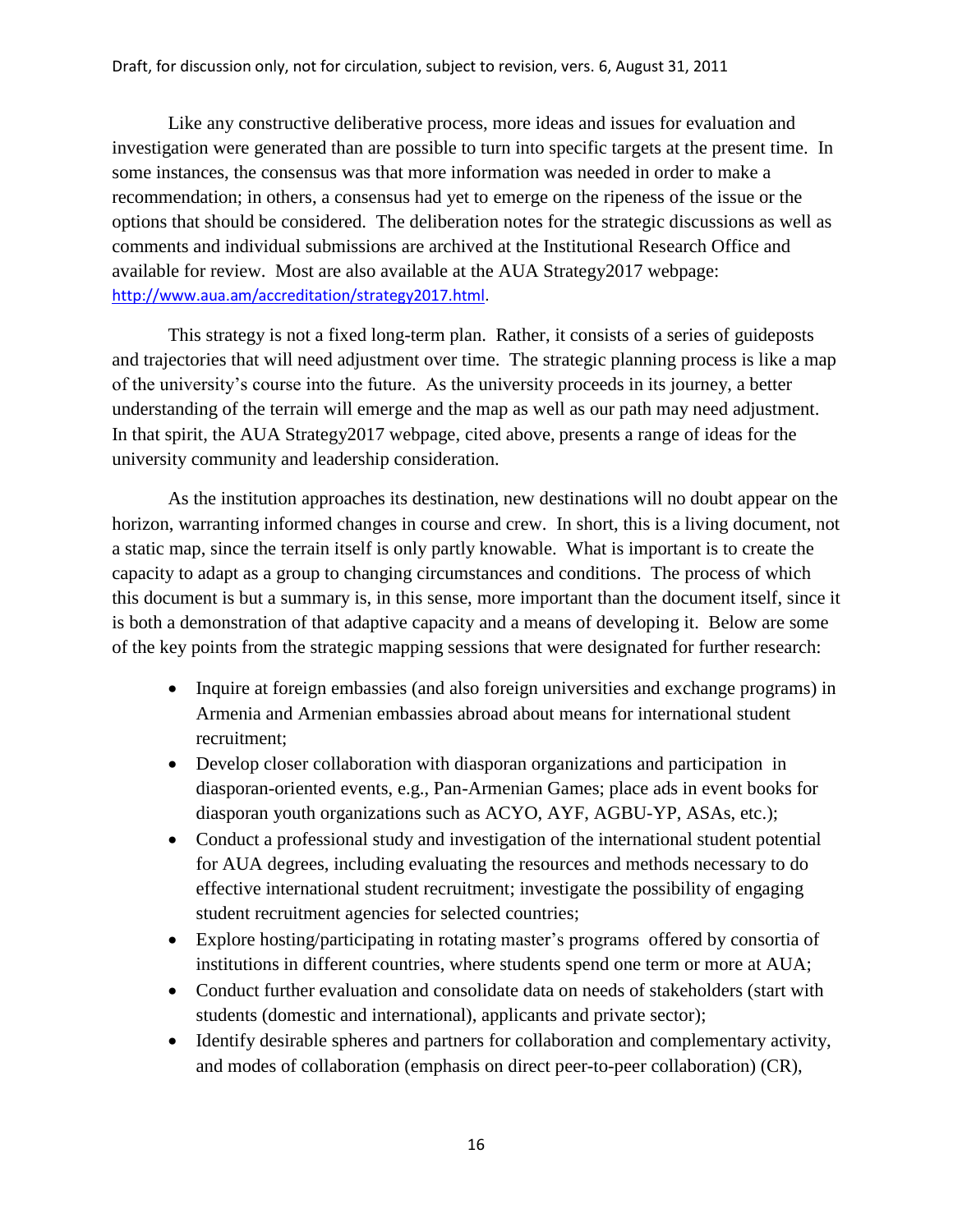Like any constructive deliberative process, more ideas and issues for evaluation and investigation were generated than are possible to turn into specific targets at the present time. In some instances, the consensus was that more information was needed in order to make a recommendation; in others, a consensus had yet to emerge on the ripeness of the issue or the options that should be considered. The deliberation notes for the strategic discussions as well as comments and individual submissions are archived at the Institutional Research Office and available for review. Most are also available at the AUA Strategy2017 webpage: [http://www.aua.am/accreditation/strategy2017.html.](http://www.aua.am/accreditation/strategy2017.html)

This strategy is not a fixed long-term plan. Rather, it consists of a series of guideposts and trajectories that will need adjustment over time. The strategic planning process is like a map of the university's course into the future. As the university proceeds in its journey, a better understanding of the terrain will emerge and the map as well as our path may need adjustment. In that spirit, the AUA Strategy2017 webpage, cited above, presents a range of ideas for the university community and leadership consideration.

As the institution approaches its destination, new destinations will no doubt appear on the horizon, warranting informed changes in course and crew. In short, this is a living document, not a static map, since the terrain itself is only partly knowable. What is important is to create the capacity to adapt as a group to changing circumstances and conditions. The process of which this document is but a summary is, in this sense, more important than the document itself, since it is both a demonstration of that adaptive capacity and a means of developing it. Below are some of the key points from the strategic mapping sessions that were designated for further research:

- Inquire at foreign embassies (and also foreign universities and exchange programs) in Armenia and Armenian embassies abroad about means for international student recruitment;
- Develop closer collaboration with diasporan organizations and participation in diasporan-oriented events, e.g., Pan-Armenian Games; place ads in event books for diasporan youth organizations such as ACYO, AYF, AGBU-YP, ASAs, etc.);
- Conduct a professional study and investigation of the international student potential for AUA degrees, including evaluating the resources and methods necessary to do effective international student recruitment; investigate the possibility of engaging student recruitment agencies for selected countries;
- Explore hosting/participating in rotating master's programs offered by consortia of institutions in different countries, where students spend one term or more at AUA;
- Conduct further evaluation and consolidate data on needs of stakeholders (start with students (domestic and international), applicants and private sector);
- Identify desirable spheres and partners for collaboration and complementary activity, and modes of collaboration (emphasis on direct peer-to-peer collaboration) (CR),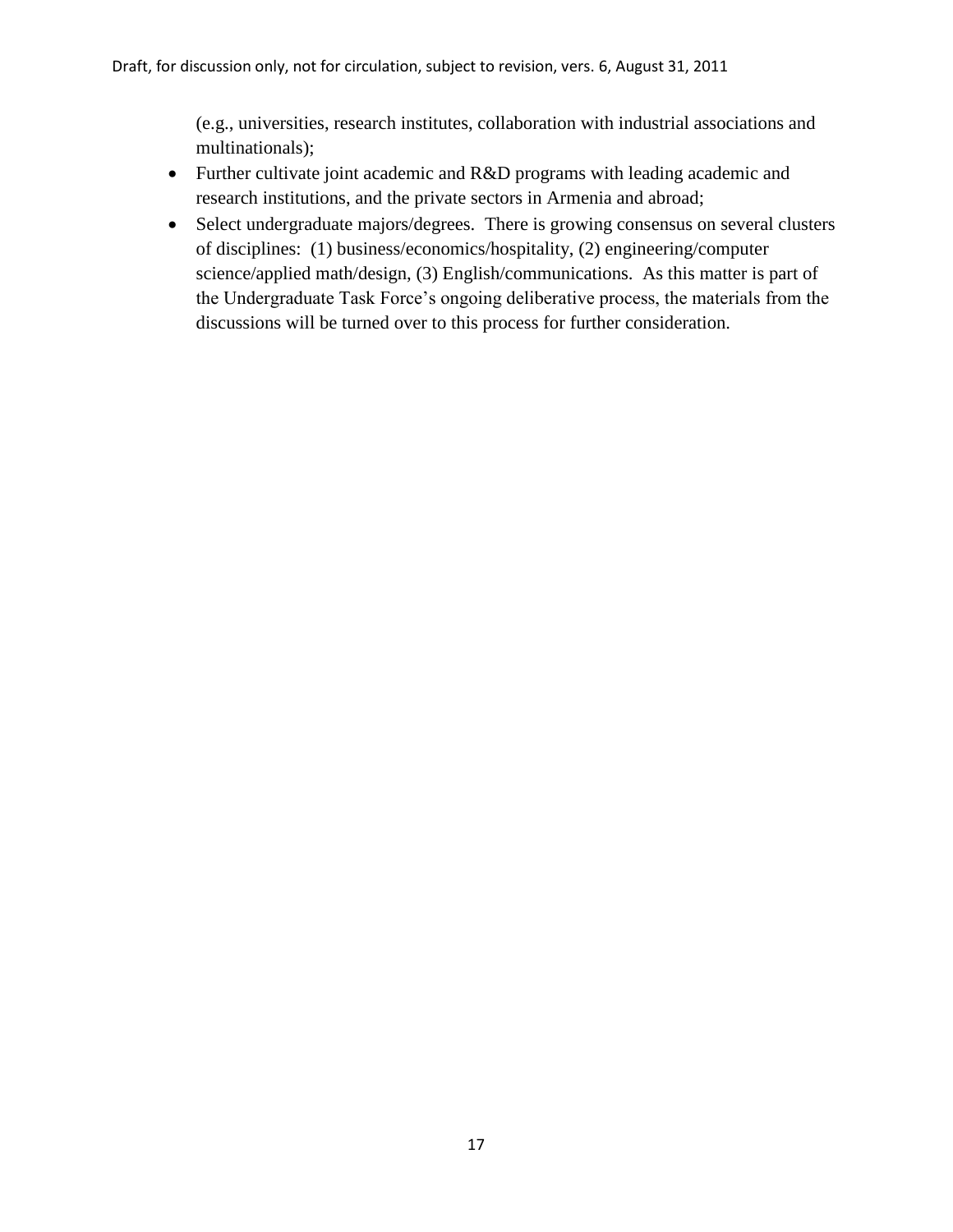(e.g., universities, research institutes, collaboration with industrial associations and multinationals);

- Further cultivate joint academic and R&D programs with leading academic and research institutions, and the private sectors in Armenia and abroad;
- Select undergraduate majors/degrees. There is growing consensus on several clusters of disciplines: (1) business/economics/hospitality, (2) engineering/computer science/applied math/design, (3) English/communications. As this matter is part of the Undergraduate Task Force's ongoing deliberative process, the materials from the discussions will be turned over to this process for further consideration.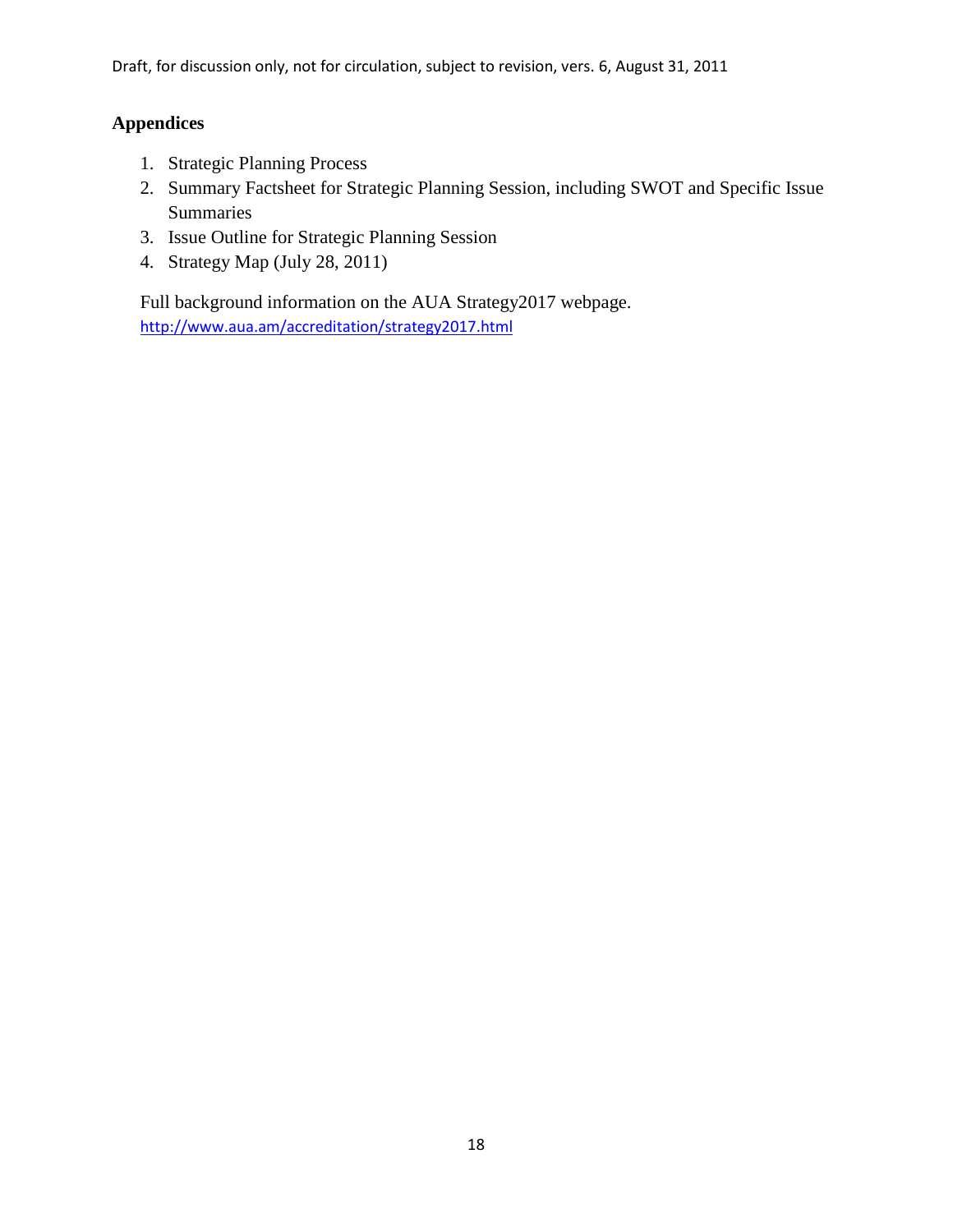# **Appendices**

- 1. Strategic Planning Process
- 2. Summary Factsheet for Strategic Planning Session, including SWOT and Specific Issue Summaries
- 3. Issue Outline for Strategic Planning Session
- 4. Strategy Map (July 28, 2011)

Full background information on the AUA Strategy2017 webpage. <http://www.aua.am/accreditation/strategy2017.html>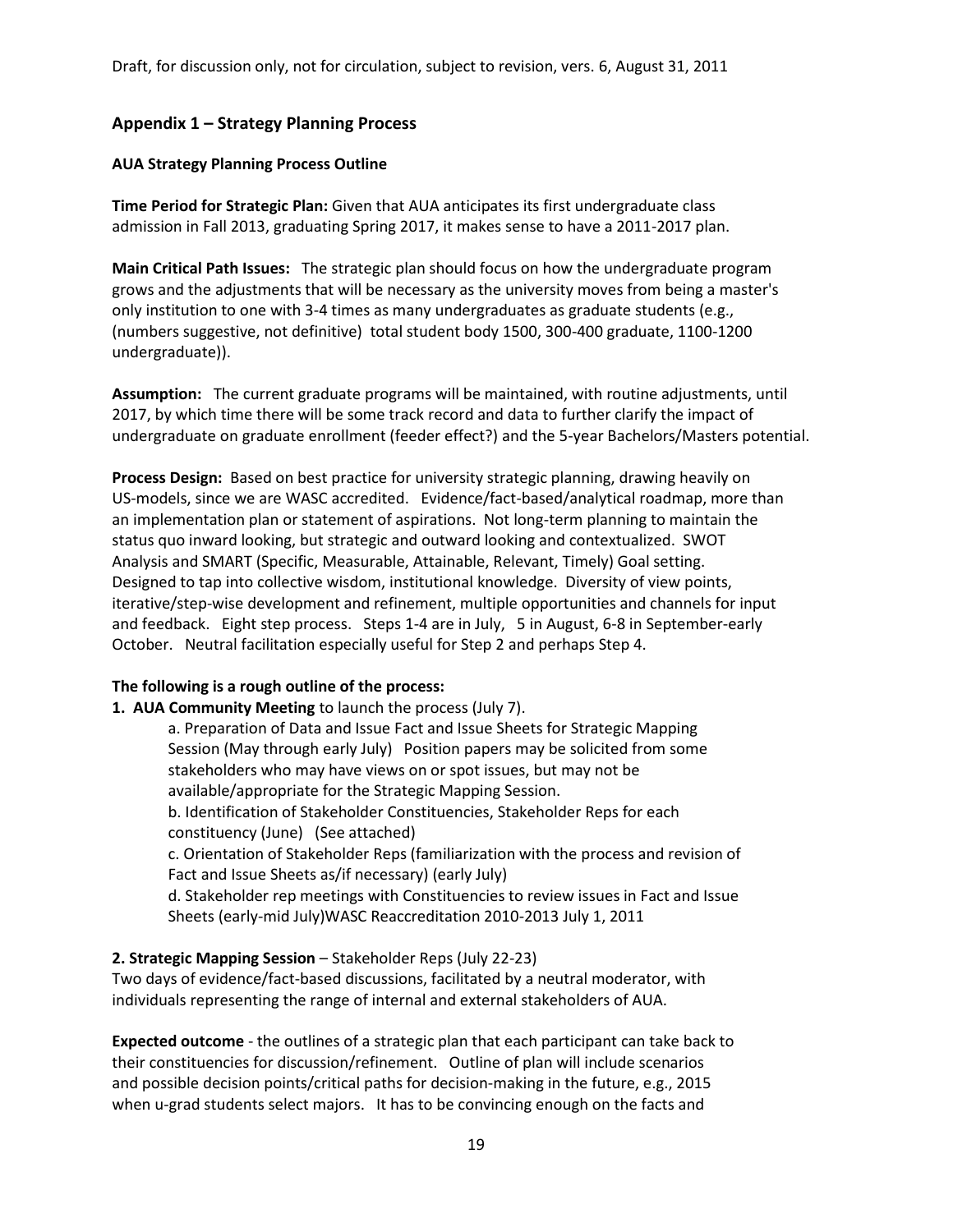# **Appendix 1 – Strategy Planning Process**

## **AUA Strategy Planning Process Outline**

**Time Period for Strategic Plan:** Given that AUA anticipates its first undergraduate class admission in Fall 2013, graduating Spring 2017, it makes sense to have a 2011-2017 plan.

**Main Critical Path Issues:** The strategic plan should focus on how the undergraduate program grows and the adjustments that will be necessary as the university moves from being a master's only institution to one with 3-4 times as many undergraduates as graduate students (e.g., (numbers suggestive, not definitive) total student body 1500, 300-400 graduate, 1100-1200 undergraduate)).

**Assumption:** The current graduate programs will be maintained, with routine adjustments, until 2017, by which time there will be some track record and data to further clarify the impact of undergraduate on graduate enrollment (feeder effect?) and the 5-year Bachelors/Masters potential.

**Process Design:** Based on best practice for university strategic planning, drawing heavily on US-models, since we are WASC accredited. Evidence/fact-based/analytical roadmap, more than an implementation plan or statement of aspirations. Not long-term planning to maintain the status quo inward looking, but strategic and outward looking and contextualized. SWOT Analysis and SMART (Specific, Measurable, Attainable, Relevant, Timely) Goal setting. Designed to tap into collective wisdom, institutional knowledge. Diversity of view points, iterative/step-wise development and refinement, multiple opportunities and channels for input and feedback. Eight step process. Steps 1-4 are in July, 5 in August, 6-8 in September-early October. Neutral facilitation especially useful for Step 2 and perhaps Step 4.

#### **The following is a rough outline of the process:**

**1. AUA Community Meeting** to launch the process (July 7).

a. Preparation of Data and Issue Fact and Issue Sheets for Strategic Mapping Session (May through early July) Position papers may be solicited from some stakeholders who may have views on or spot issues, but may not be available/appropriate for the Strategic Mapping Session.

b. Identification of Stakeholder Constituencies, Stakeholder Reps for each constituency (June) (See attached)

c. Orientation of Stakeholder Reps (familiarization with the process and revision of Fact and Issue Sheets as/if necessary) (early July)

d. Stakeholder rep meetings with Constituencies to review issues in Fact and Issue Sheets (early-mid July)WASC Reaccreditation 2010-2013 July 1, 2011

# **2. Strategic Mapping Session** – Stakeholder Reps (July 22-23)

Two days of evidence/fact-based discussions, facilitated by a neutral moderator, with individuals representing the range of internal and external stakeholders of AUA.

**Expected outcome** - the outlines of a strategic plan that each participant can take back to their constituencies for discussion/refinement. Outline of plan will include scenarios and possible decision points/critical paths for decision-making in the future, e.g., 2015 when u-grad students select majors. It has to be convincing enough on the facts and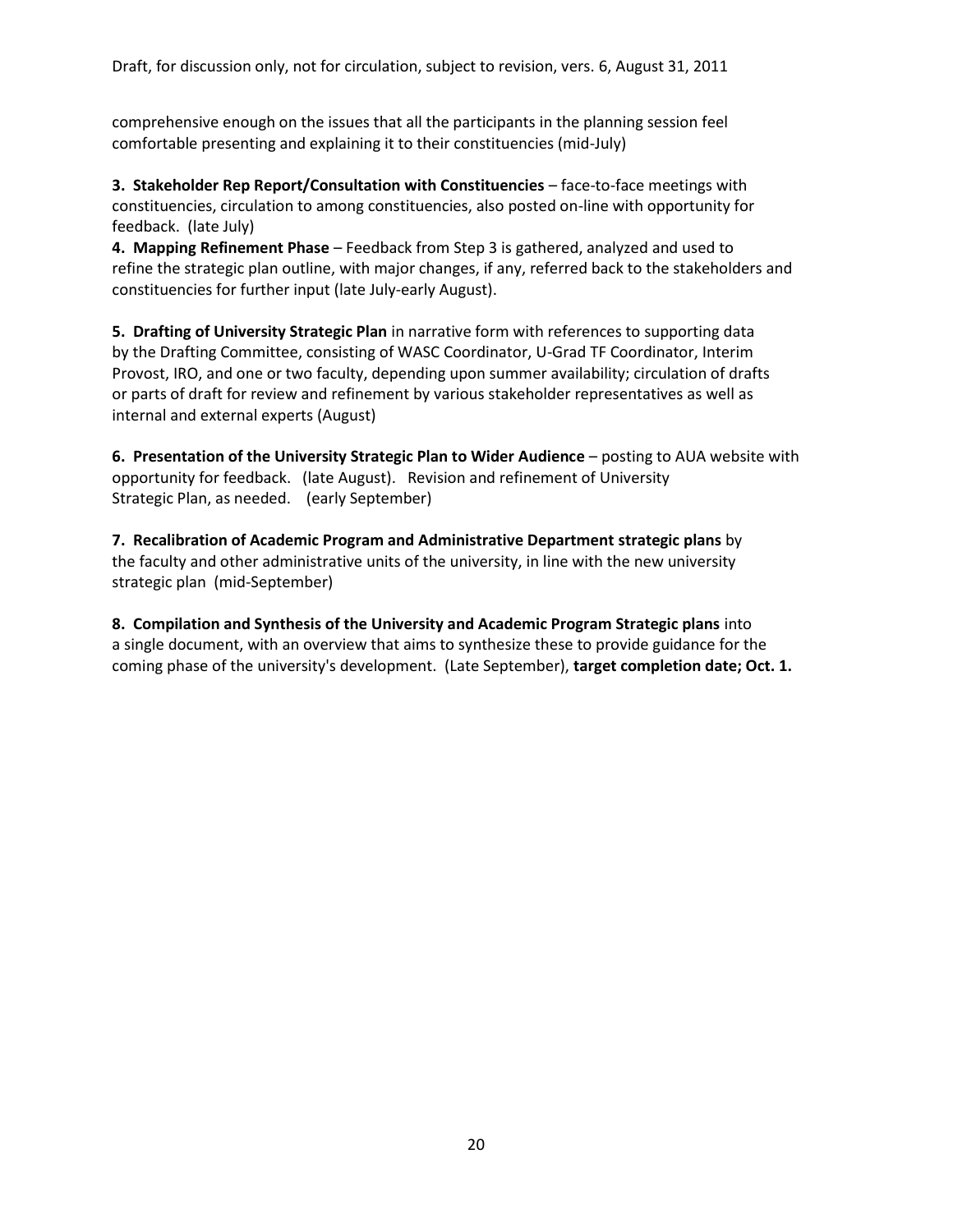comprehensive enough on the issues that all the participants in the planning session feel comfortable presenting and explaining it to their constituencies (mid-July)

**3. Stakeholder Rep Report/Consultation with Constituencies** – face-to-face meetings with constituencies, circulation to among constituencies, also posted on-line with opportunity for feedback. (late July)

**4. Mapping Refinement Phase** – Feedback from Step 3 is gathered, analyzed and used to refine the strategic plan outline, with major changes, if any, referred back to the stakeholders and constituencies for further input (late July-early August).

**5. Drafting of University Strategic Plan** in narrative form with references to supporting data by the Drafting Committee, consisting of WASC Coordinator, U-Grad TF Coordinator, Interim Provost, IRO, and one or two faculty, depending upon summer availability; circulation of drafts or parts of draft for review and refinement by various stakeholder representatives as well as internal and external experts (August)

**6. Presentation of the University Strategic Plan to Wider Audience** – posting to AUA website with opportunity for feedback. (late August). Revision and refinement of University Strategic Plan, as needed. (early September)

**7. Recalibration of Academic Program and Administrative Department strategic plans** by the faculty and other administrative units of the university, in line with the new university strategic plan (mid-September)

**8. Compilation and Synthesis of the University and Academic Program Strategic plans** into a single document, with an overview that aims to synthesize these to provide guidance for the coming phase of the university's development. (Late September), **target completion date; Oct. 1.**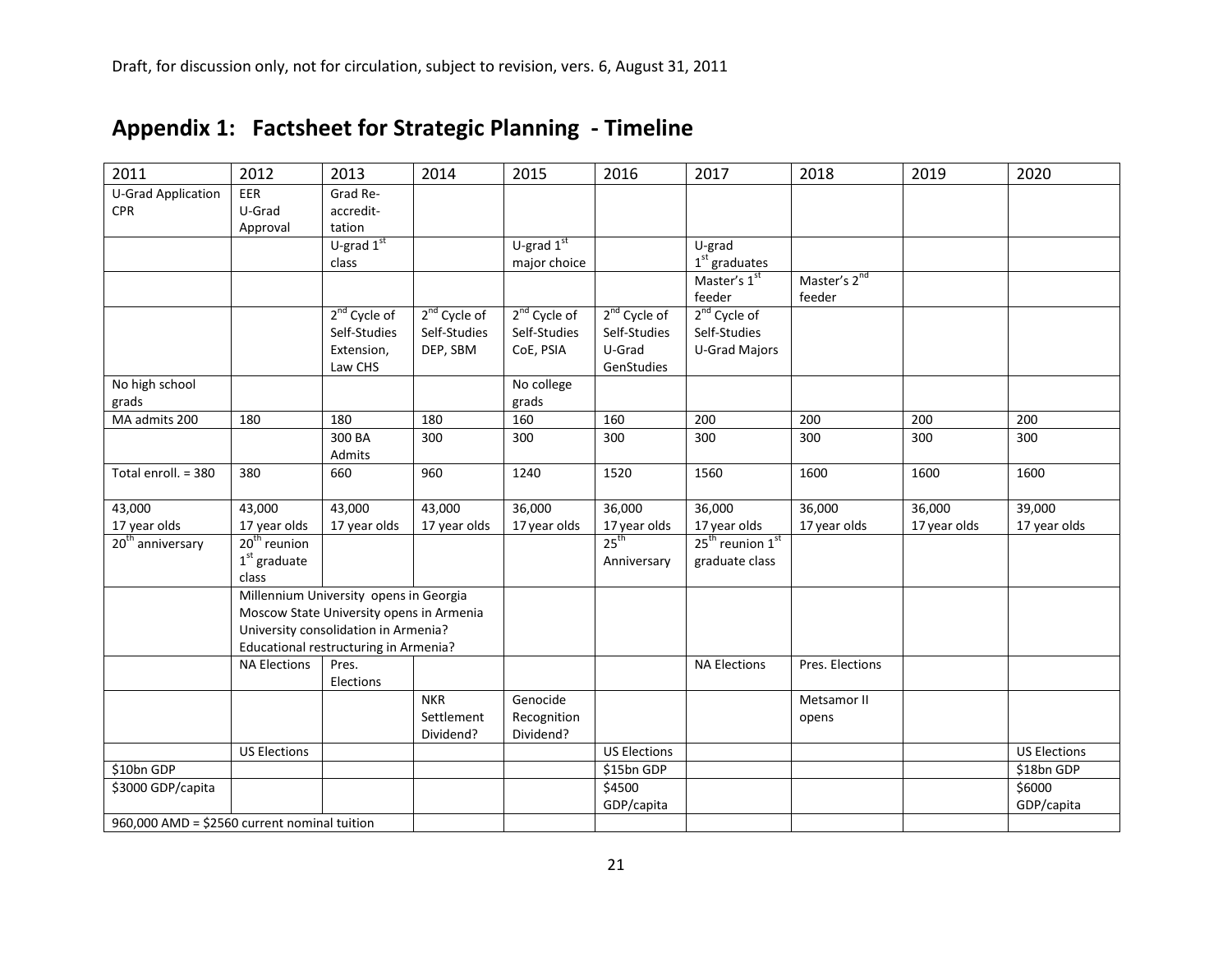| 2011                                         | 2012                                     | 2013                                   | 2014                     | 2015                     | 2016                     | 2017                                     | 2018                     | 2019         | 2020                |
|----------------------------------------------|------------------------------------------|----------------------------------------|--------------------------|--------------------------|--------------------------|------------------------------------------|--------------------------|--------------|---------------------|
| <b>U-Grad Application</b>                    | EER                                      | Grad Re-                               |                          |                          |                          |                                          |                          |              |                     |
| <b>CPR</b>                                   | U-Grad                                   | accredit-                              |                          |                          |                          |                                          |                          |              |                     |
|                                              | Approval                                 | tation                                 |                          |                          |                          |                                          |                          |              |                     |
|                                              |                                          | $U$ -grad $1st$                        |                          | U-grad $1st$             |                          | U-grad                                   |                          |              |                     |
|                                              |                                          | class                                  |                          | major choice             |                          | $1st$ graduates                          |                          |              |                     |
|                                              |                                          |                                        |                          |                          |                          | Master's 1st                             | Master's 2 <sup>nd</sup> |              |                     |
|                                              |                                          |                                        |                          |                          |                          | feeder                                   | feeder                   |              |                     |
|                                              |                                          | $2^{nd}$ Cycle of                      | 2 <sup>nd</sup> Cycle of | 2 <sup>nd</sup> Cycle of | 2 <sup>nd</sup> Cycle of | $2nd$ Cycle of                           |                          |              |                     |
|                                              |                                          | Self-Studies                           | Self-Studies             | Self-Studies             | Self-Studies             | Self-Studies                             |                          |              |                     |
|                                              |                                          | Extension,                             | DEP, SBM                 | CoE, PSIA                | U-Grad                   | U-Grad Majors                            |                          |              |                     |
|                                              |                                          | Law CHS                                |                          |                          | GenStudies               |                                          |                          |              |                     |
| No high school                               |                                          |                                        |                          | No college               |                          |                                          |                          |              |                     |
| grads                                        |                                          |                                        |                          | grads                    |                          |                                          |                          |              |                     |
| MA admits 200                                | 180                                      | 180                                    | 180                      | 160                      | 160                      | 200                                      | 200                      | 200          | 200                 |
|                                              |                                          | 300 BA                                 | 300                      | 300                      | 300                      | 300                                      | 300                      | 300          | 300                 |
|                                              |                                          | Admits                                 |                          |                          |                          |                                          |                          |              |                     |
| Total enroll. = 380                          | 380                                      | 660                                    | 960                      | 1240                     | 1520                     | 1560                                     | 1600                     | 1600         | 1600                |
| 43,000                                       | 43,000                                   | 43,000                                 | 43,000                   | 36,000                   | 36,000                   | 36,000                                   | 36,000                   | 36,000       | 39,000              |
| 17 year olds                                 | 17 year olds                             | 17 year olds                           | 17 year olds             | 17 year olds             | 17 year olds             | 17 year olds                             | 17 year olds             | 17 year olds | 17 year olds        |
| $20th$ anniversary                           | $20th$ reunion                           |                                        |                          |                          | 25 <sup>th</sup>         | 25 <sup>th</sup> reunion 1 <sup>st</sup> |                          |              |                     |
|                                              | $1st$ graduate                           |                                        |                          |                          | Anniversary              | graduate class                           |                          |              |                     |
|                                              | class                                    |                                        |                          |                          |                          |                                          |                          |              |                     |
|                                              |                                          | Millennium University opens in Georgia |                          |                          |                          |                                          |                          |              |                     |
|                                              | Moscow State University opens in Armenia |                                        |                          |                          |                          |                                          |                          |              |                     |
|                                              | University consolidation in Armenia?     |                                        |                          |                          |                          |                                          |                          |              |                     |
|                                              |                                          | Educational restructuring in Armenia?  |                          |                          |                          |                                          |                          |              |                     |
|                                              | <b>NA Elections</b>                      | Pres.                                  |                          |                          |                          | <b>NA Elections</b>                      | Pres. Elections          |              |                     |
|                                              |                                          | Elections                              |                          |                          |                          |                                          |                          |              |                     |
|                                              |                                          |                                        | <b>NKR</b>               | Genocide                 |                          |                                          | Metsamor II              |              |                     |
|                                              |                                          |                                        | Settlement               | Recognition              |                          |                                          | opens                    |              |                     |
|                                              |                                          |                                        | Dividend?                | Dividend?                |                          |                                          |                          |              |                     |
|                                              | <b>US Elections</b>                      |                                        |                          |                          | <b>US Elections</b>      |                                          |                          |              | <b>US Elections</b> |
| \$10bn GDP                                   |                                          |                                        |                          |                          | \$15bn GDP               |                                          |                          |              | \$18bn GDP          |
| \$3000 GDP/capita                            |                                          |                                        |                          |                          | \$4500                   |                                          |                          |              | \$6000              |
|                                              |                                          |                                        |                          |                          | GDP/capita               |                                          |                          |              | GDP/capita          |
| 960,000 AMD = \$2560 current nominal tuition |                                          |                                        |                          |                          |                          |                                          |                          |              |                     |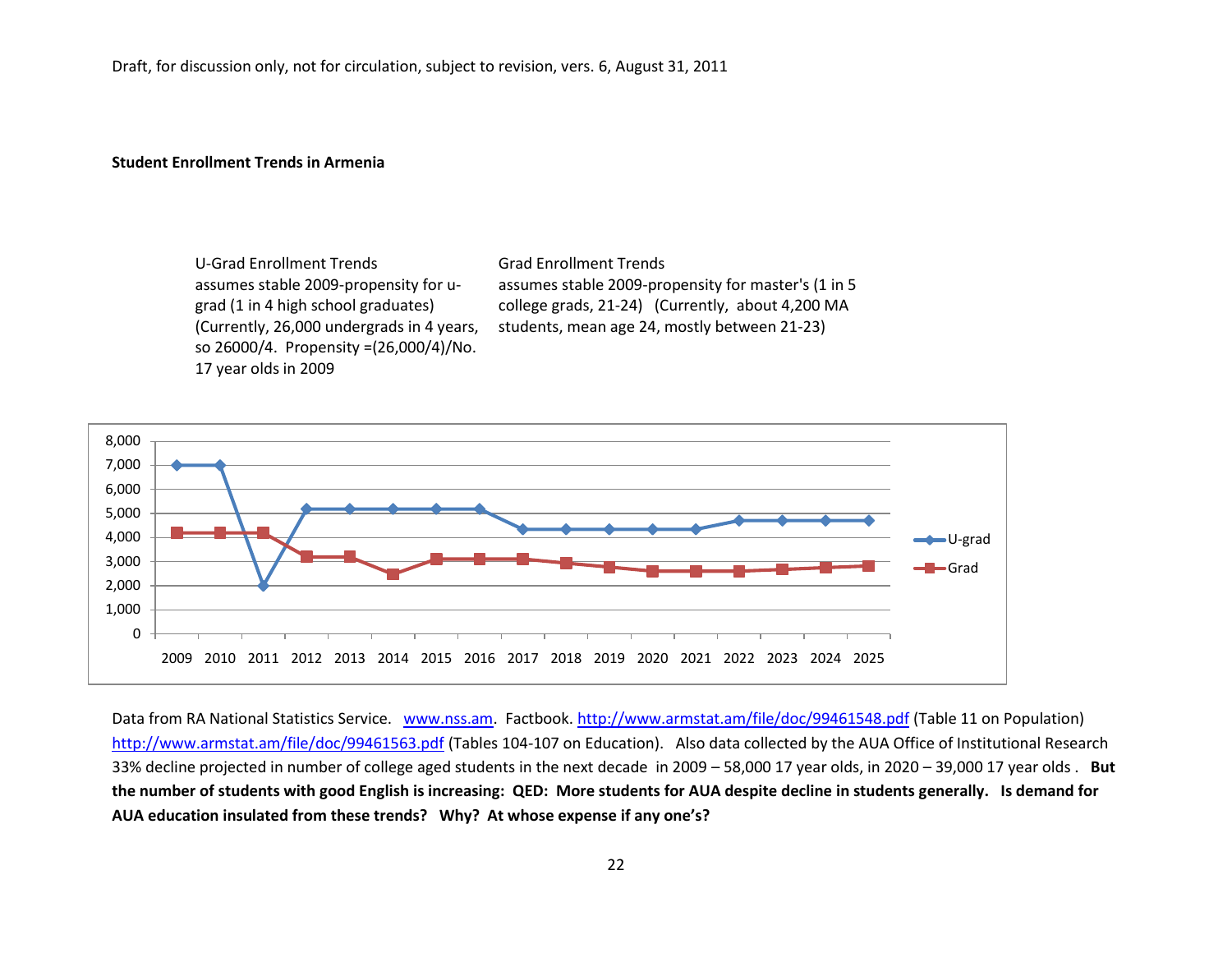#### **Student Enrollment Trends in Armenia**

U-Grad Enrollment Trends Grad Enrollment Trends assumes stable 2009-propensity for ugrad (1 in 4 high school graduates) (Currently, 26,000 undergrads in 4 years, so 26000/4. Propensity =(26,000/4)/No. 17 year olds in 2009

assumes stable 2009-propensity for master's (1 in 5 college grads, 21-24) (Currently, about 4,200 MA students, mean age 24, mostly between 21-23)



Data from RA National Statistics Service. [www.nss.am.](http://www.nss.am/) Factbook.<http://www.armstat.am/file/doc/99461548.pdf> (Table 11 on Population) <http://www.armstat.am/file/doc/99461563.pdf> (Tables 104-107 on Education). Also data collected by the AUA Office of Institutional Research 33% decline projected in number of college aged students in the next decade in 2009 – 58,000 17 year olds, in 2020 – 39,000 17 year olds . **But the number of students with good English is increasing: QED: More students for AUA despite decline in students generally. Is demand for AUA education insulated from these trends? Why? At whose expense if any one's?**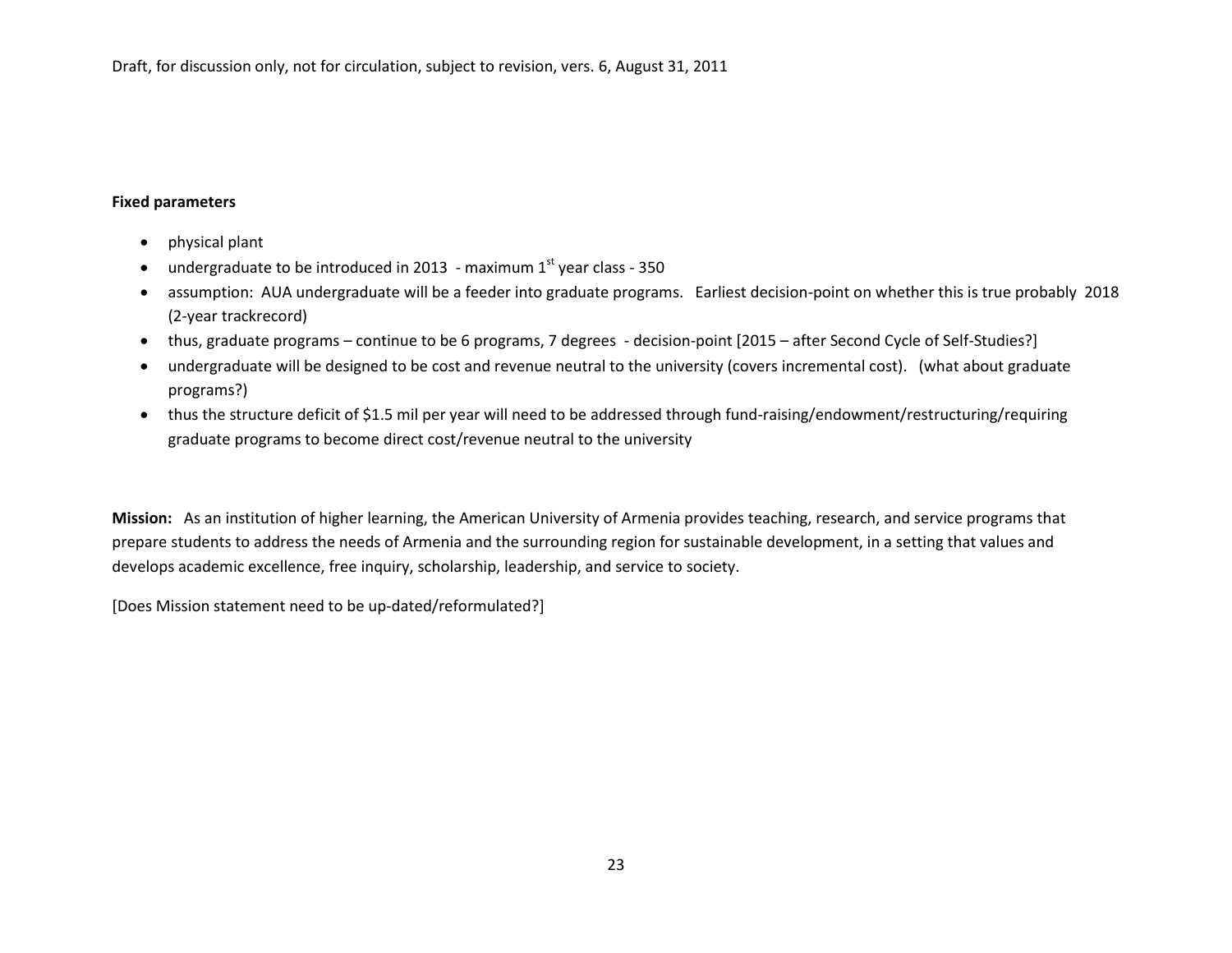#### **Fixed parameters**

- physical plant
- undergraduate to be introduced in 2013 maximum  $1<sup>st</sup>$  year class 350
- assumption: AUA undergraduate will be a feeder into graduate programs. Earliest decision-point on whether this is true probably 2018 (2-year trackrecord)
- thus, graduate programs continue to be 6 programs, 7 degrees decision-point [2015 after Second Cycle of Self-Studies?]
- undergraduate will be designed to be cost and revenue neutral to the university (covers incremental cost). (what about graduate programs?)
- thus the structure deficit of \$1.5 mil per year will need to be addressed through fund-raising/endowment/restructuring/requiring graduate programs to become direct cost/revenue neutral to the university

**Mission:** As an institution of higher learning, the American University of Armenia provides teaching, research, and service programs that prepare students to address the needs of Armenia and the surrounding region for sustainable development, in a setting that values and develops academic excellence, free inquiry, scholarship, leadership, and service to society.

[Does Mission statement need to be up-dated/reformulated?]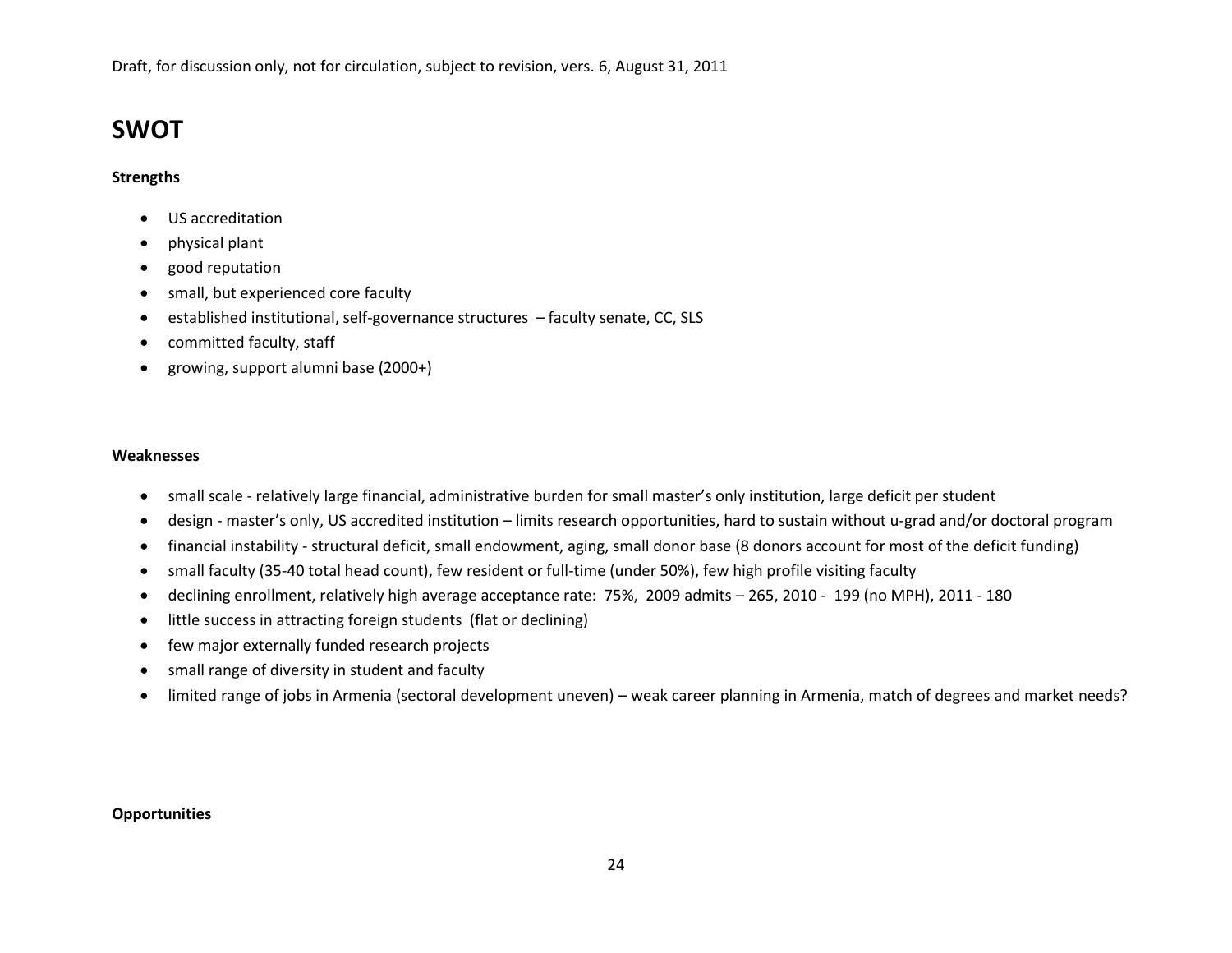# **SWOT**

## **Strengths**

- US accreditation
- physical plant
- good reputation
- small, but experienced core faculty
- established institutional, self-governance structures faculty senate, CC, SLS
- committed faculty, staff
- growing, support alumni base (2000+)

#### **Weaknesses**

- small scale relatively large financial, administrative burden for small master's only institution, large deficit per student
- design master's only, US accredited institution limits research opportunities, hard to sustain without u-grad and/or doctoral program
- financial instability structural deficit, small endowment, aging, small donor base (8 donors account for most of the deficit funding)
- small faculty (35-40 total head count), few resident or full-time (under 50%), few high profile visiting faculty
- declining enrollment, relatively high average acceptance rate: 75%, 2009 admits 265, 2010 199 (no MPH), 2011 180
- little success in attracting foreign students (flat or declining)
- few major externally funded research projects
- small range of diversity in student and faculty
- limited range of jobs in Armenia (sectoral development uneven) weak career planning in Armenia, match of degrees and market needs?

#### **Opportunities**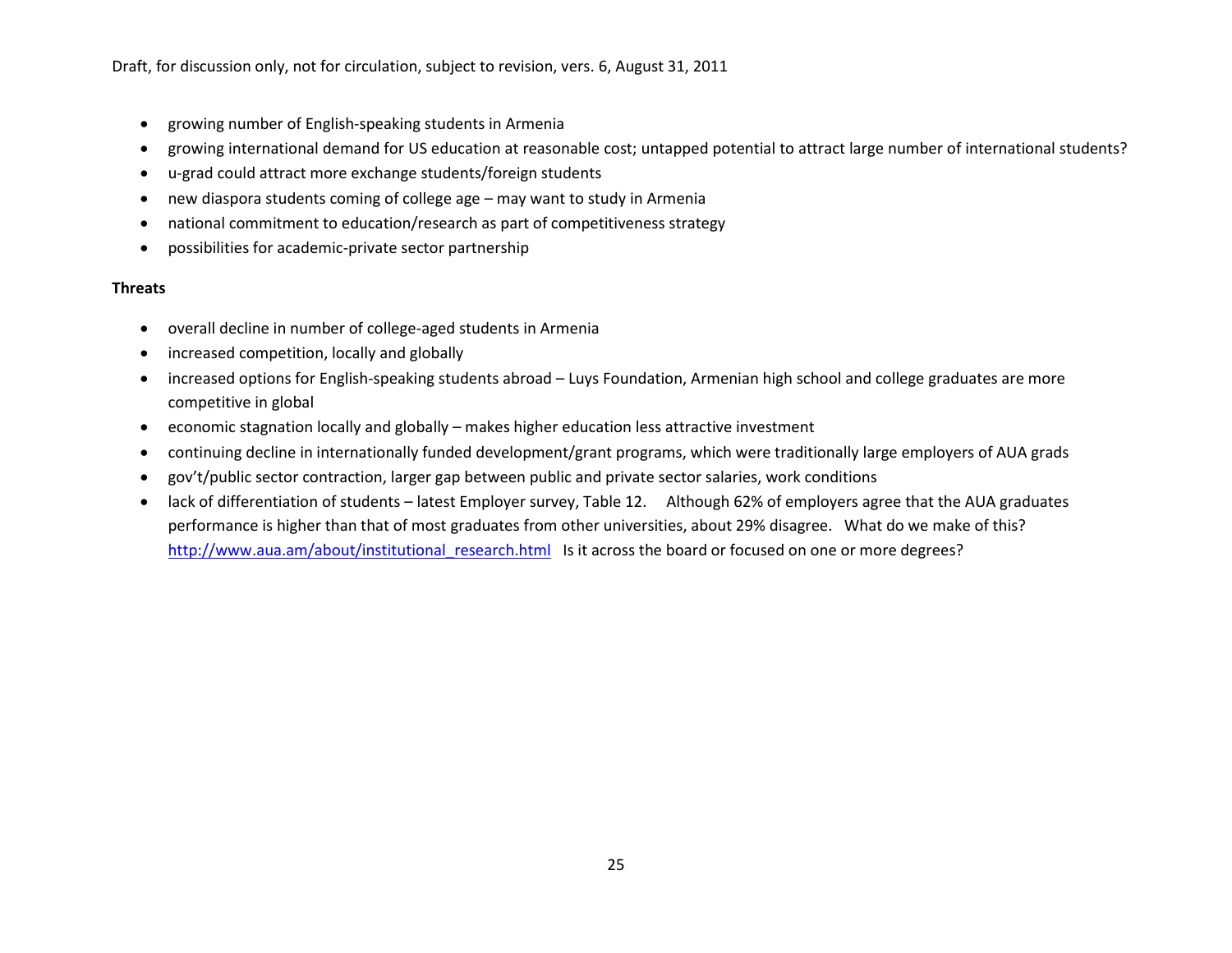- growing number of English-speaking students in Armenia
- growing international demand for US education at reasonable cost; untapped potential to attract large number of international students?
- u-grad could attract more exchange students/foreign students
- new diaspora students coming of college age may want to study in Armenia
- national commitment to education/research as part of competitiveness strategy
- possibilities for academic-private sector partnership

## **Threats**

- overall decline in number of college-aged students in Armenia
- increased competition, locally and globally
- increased options for English-speaking students abroad Luys Foundation, Armenian high school and college graduates are more competitive in global
- economic stagnation locally and globally makes higher education less attractive investment
- continuing decline in internationally funded development/grant programs, which were traditionally large employers of AUA grads
- gov't/public sector contraction, larger gap between public and private sector salaries, work conditions
- lack of differentiation of students latest Employer survey, Table 12. Although 62% of employers agree that the AUA graduates performance is higher than that of most graduates from other universities, about 29% disagree. What do we make of this? http://www.aua.am/about/institutional research.html Is it across the board or focused on one or more degrees?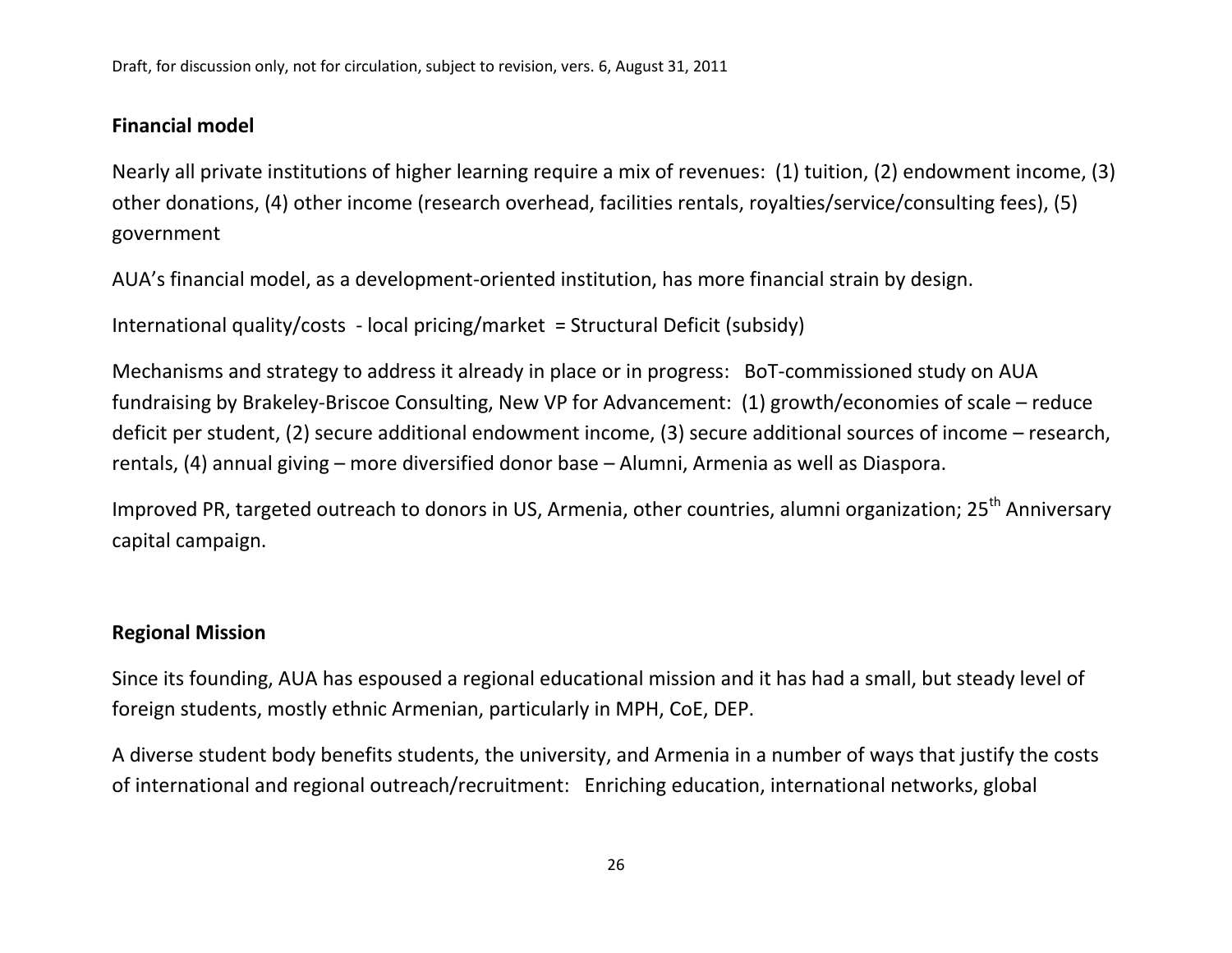# **Financial model**

Nearly all private institutions of higher learning require a mix of revenues: (1) tuition, (2) endowment income, (3) other donations, (4) other income (research overhead, facilities rentals, royalties/service/consulting fees), (5) government

AUA's financial model, as a development-oriented institution, has more financial strain by design.

International quality/costs - local pricing/market = Structural Deficit (subsidy)

Mechanisms and strategy to address it already in place or in progress: BoT-commissioned study on AUA fundraising by Brakeley-Briscoe Consulting, New VP for Advancement: (1) growth/economies of scale – reduce deficit per student, (2) secure additional endowment income, (3) secure additional sources of income – research, rentals, (4) annual giving – more diversified donor base – Alumni, Armenia as well as Diaspora.

Improved PR, targeted outreach to donors in US, Armenia, other countries, alumni organization; 25<sup>th</sup> Anniversary capital campaign.

# **Regional Mission**

Since its founding, AUA has espoused a regional educational mission and it has had a small, but steady level of foreign students, mostly ethnic Armenian, particularly in MPH, CoE, DEP.

A diverse student body benefits students, the university, and Armenia in a number of ways that justify the costs of international and regional outreach/recruitment: Enriching education, international networks, global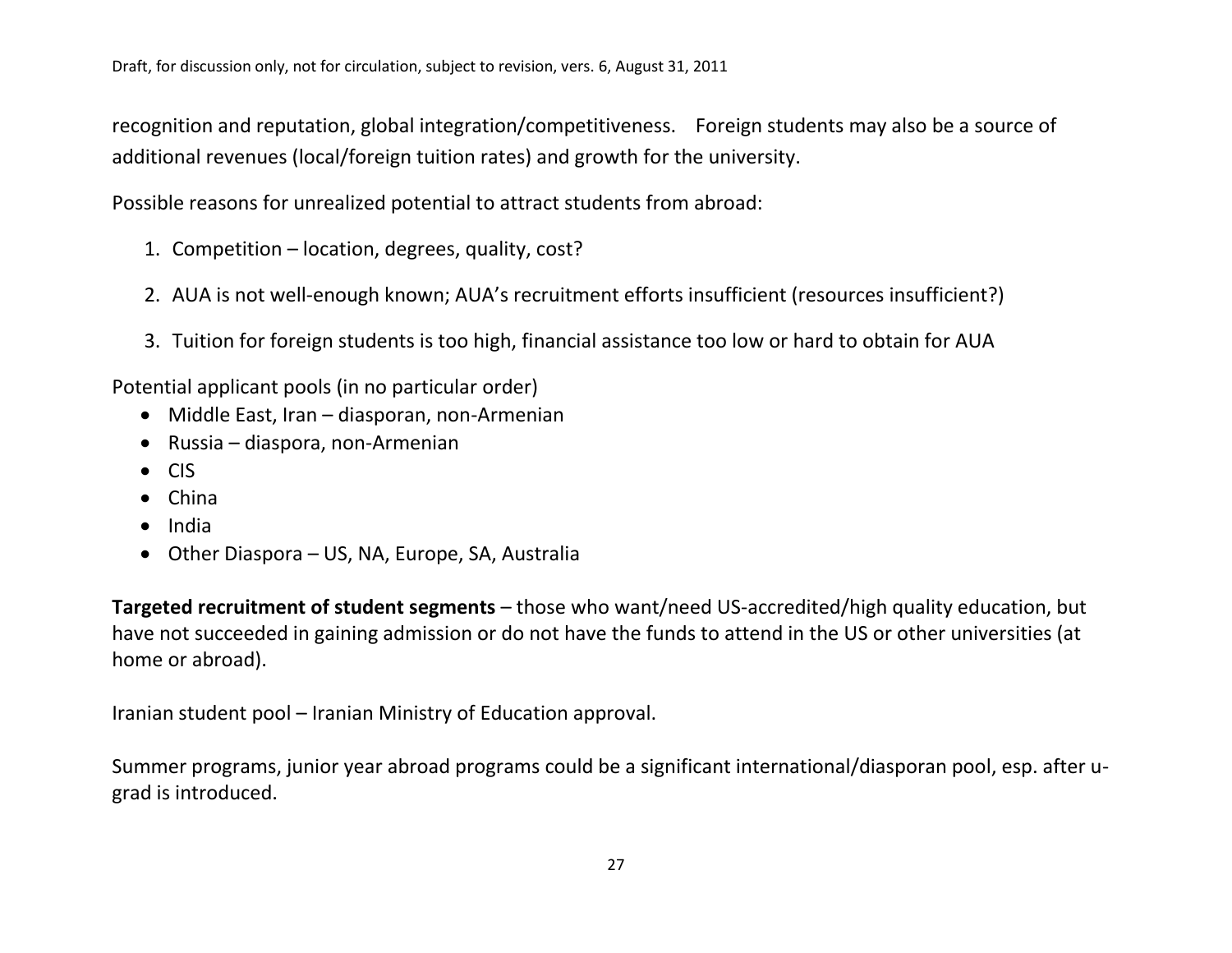recognition and reputation, global integration/competitiveness. Foreign students may also be a source of additional revenues (local/foreign tuition rates) and growth for the university.

Possible reasons for unrealized potential to attract students from abroad:

- 1. Competition location, degrees, quality, cost?
- 2. AUA is not well-enough known; AUA's recruitment efforts insufficient (resources insufficient?)
- 3. Tuition for foreign students is too high, financial assistance too low or hard to obtain for AUA

Potential applicant pools (in no particular order)

- Middle East, Iran diasporan, non-Armenian
- Russia diaspora, non-Armenian
- CIS
- China
- India
- Other Diaspora US, NA, Europe, SA, Australia

**Targeted recruitment of student segments** – those who want/need US-accredited/high quality education, but have not succeeded in gaining admission or do not have the funds to attend in the US or other universities (at home or abroad).

Iranian student pool – Iranian Ministry of Education approval.

Summer programs, junior year abroad programs could be a significant international/diasporan pool, esp. after ugrad is introduced.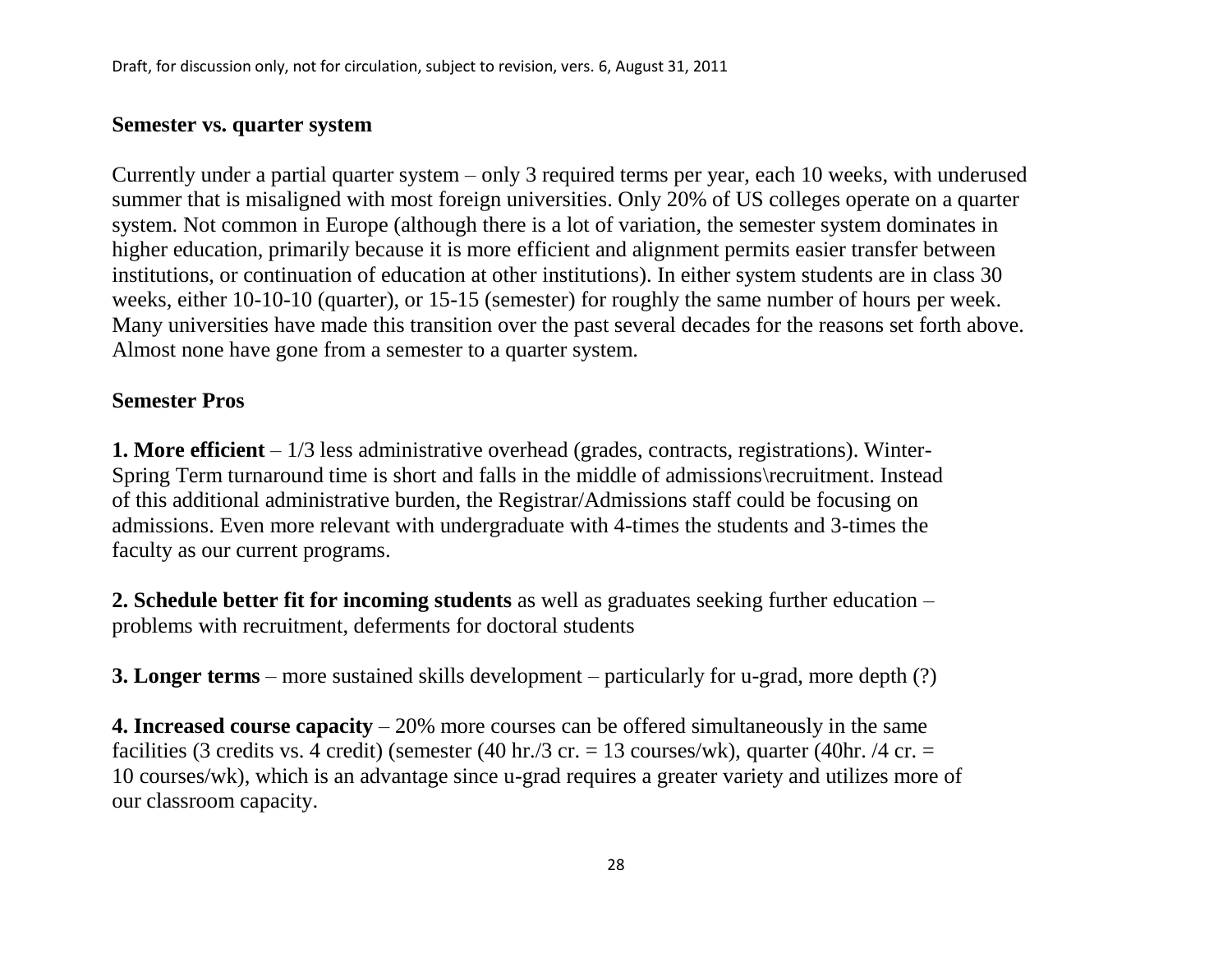# **Semester vs. quarter system**

Currently under a partial quarter system – only 3 required terms per year, each 10 weeks, with underused summer that is misaligned with most foreign universities. Only 20% of US colleges operate on a quarter system. Not common in Europe (although there is a lot of variation, the semester system dominates in higher education, primarily because it is more efficient and alignment permits easier transfer between institutions, or continuation of education at other institutions). In either system students are in class 30 weeks, either 10-10-10 (quarter), or 15-15 (semester) for roughly the same number of hours per week. Many universities have made this transition over the past several decades for the reasons set forth above. Almost none have gone from a semester to a quarter system.

# **Semester Pros**

**1. More efficient** – 1/3 less administrative overhead (grades, contracts, registrations). Winter-Spring Term turnaround time is short and falls in the middle of admissions\recruitment. Instead of this additional administrative burden, the Registrar/Admissions staff could be focusing on admissions. Even more relevant with undergraduate with 4-times the students and 3-times the faculty as our current programs.

**2. Schedule better fit for incoming students** as well as graduates seeking further education – problems with recruitment, deferments for doctoral students

**3. Longer terms** – more sustained skills development – particularly for u-grad, more depth (?)

**4. Increased course capacity** – 20% more courses can be offered simultaneously in the same facilities (3 credits vs. 4 credit) (semester (40 hr./3 cr. = 13 courses/wk), quarter (40 hr. /4 cr. = 10 courses/wk), which is an advantage since u-grad requires a greater variety and utilizes more of our classroom capacity.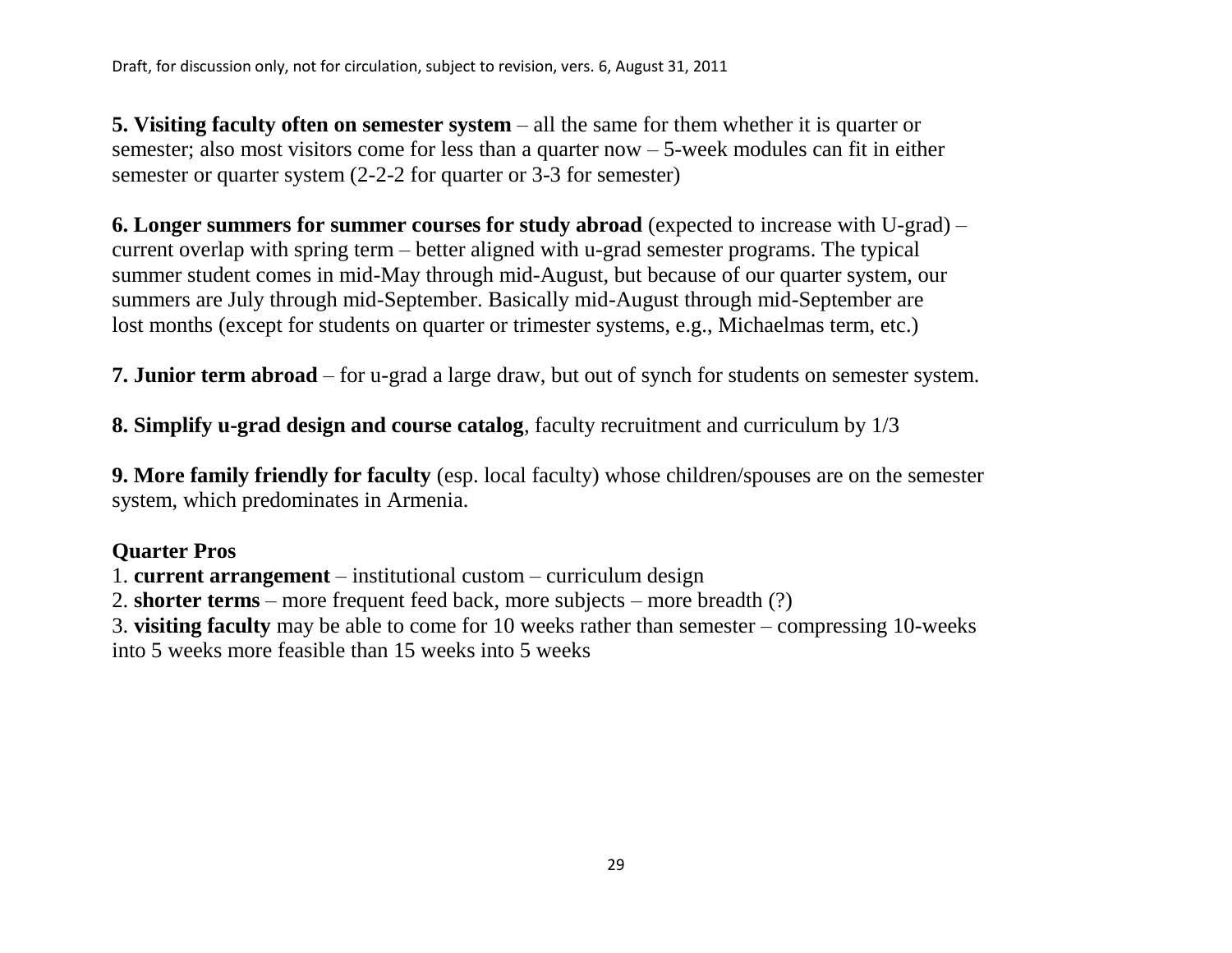**5. Visiting faculty often on semester system** – all the same for them whether it is quarter or semester; also most visitors come for less than a quarter now – 5-week modules can fit in either semester or quarter system (2-2-2 for quarter or 3-3 for semester)

**6. Longer summers for summer courses for study abroad** (expected to increase with U-grad) – current overlap with spring term – better aligned with u-grad semester programs. The typical summer student comes in mid-May through mid-August, but because of our quarter system, our summers are July through mid-September. Basically mid-August through mid-September are lost months (except for students on quarter or trimester systems, e.g., Michaelmas term, etc.)

**7. Junior term abroad** – for u-grad a large draw, but out of synch for students on semester system.

**8. Simplify u-grad design and course catalog**, faculty recruitment and curriculum by 1/3

**9. More family friendly for faculty** (esp. local faculty) whose children/spouses are on the semester system, which predominates in Armenia.

# **Quarter Pros**

1. **current arrangement** – institutional custom – curriculum design

2. **shorter terms** – more frequent feed back, more subjects – more breadth (?)

3. **visiting faculty** may be able to come for 10 weeks rather than semester – compressing 10-weeks

into 5 weeks more feasible than 15 weeks into 5 weeks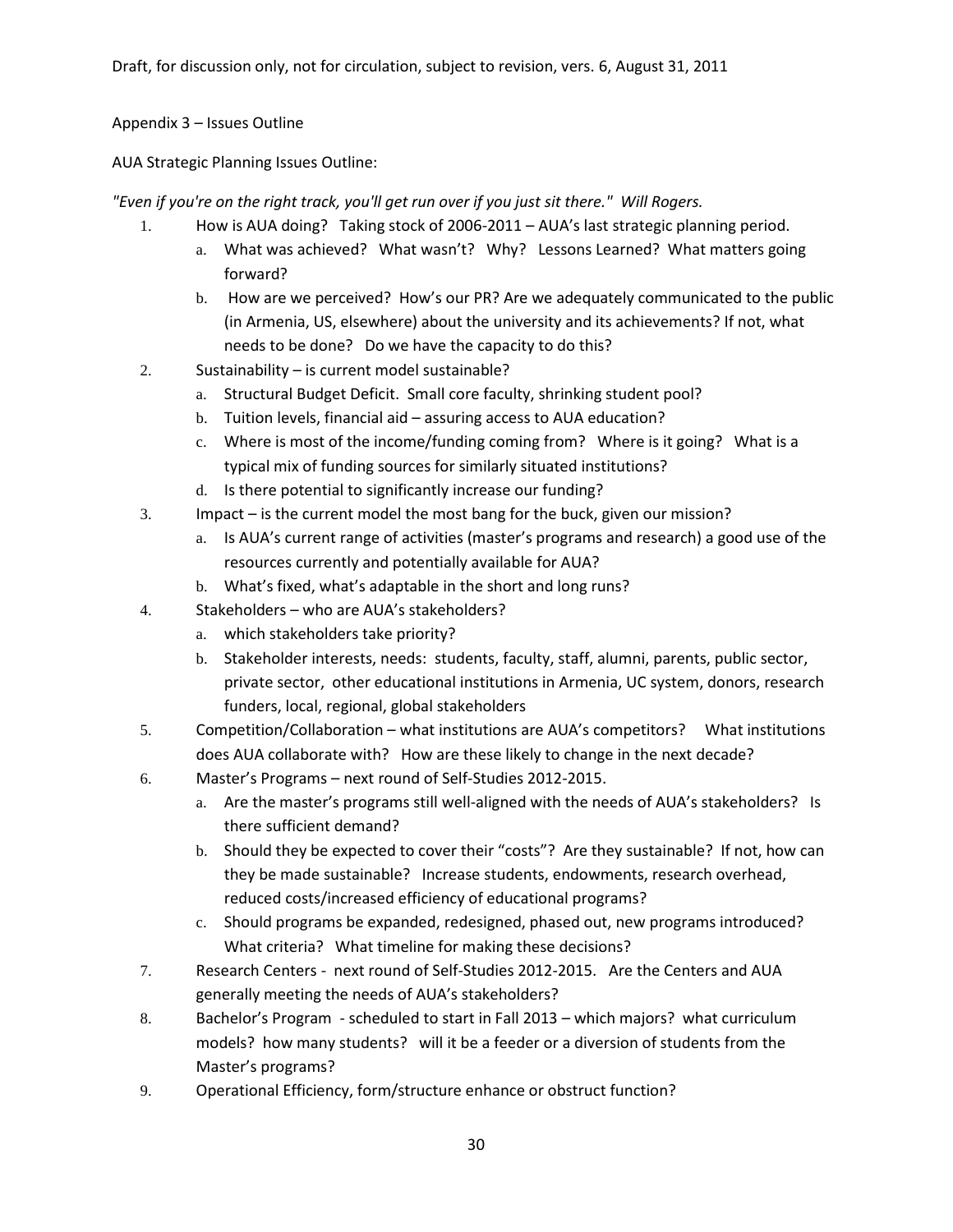## Appendix 3 – Issues Outline

AUA Strategic Planning Issues Outline:

*"Even if you're on the right track, you'll get run over if you just sit there." Will Rogers.*

- 1. How is AUA doing? Taking stock of 2006-2011 AUA's last strategic planning period.
	- a. What was achieved? What wasn't? Why? Lessons Learned? What matters going forward?
	- b. How are we perceived? How's our PR? Are we adequately communicated to the public (in Armenia, US, elsewhere) about the university and its achievements? If not, what needs to be done? Do we have the capacity to do this?
- 2. Sustainability is current model sustainable?
	- a. Structural Budget Deficit. Small core faculty, shrinking student pool?
	- b. Tuition levels, financial aid assuring access to AUA education?
	- c. Where is most of the income/funding coming from? Where is it going? What is a typical mix of funding sources for similarly situated institutions?
	- d. Is there potential to significantly increase our funding?
- 3. Impact is the current model the most bang for the buck, given our mission?
	- a. Is AUA's current range of activities (master's programs and research) a good use of the resources currently and potentially available for AUA?
	- b. What's fixed, what's adaptable in the short and long runs?
- 4. Stakeholders who are AUA's stakeholders?
	- a. which stakeholders take priority?
	- b. Stakeholder interests, needs: students, faculty, staff, alumni, parents, public sector, private sector, other educational institutions in Armenia, UC system, donors, research funders, local, regional, global stakeholders
- 5. Competition/Collaboration what institutions are AUA's competitors? What institutions does AUA collaborate with? How are these likely to change in the next decade?
- 6. Master's Programs next round of Self-Studies 2012-2015.
	- a. Are the master's programs still well-aligned with the needs of AUA's stakeholders? Is there sufficient demand?
	- b. Should they be expected to cover their "costs"? Are they sustainable? If not, how can they be made sustainable? Increase students, endowments, research overhead, reduced costs/increased efficiency of educational programs?
	- c. Should programs be expanded, redesigned, phased out, new programs introduced? What criteria? What timeline for making these decisions?
- 7. Research Centers next round of Self-Studies 2012-2015. Are the Centers and AUA generally meeting the needs of AUA's stakeholders?
- 8. Bachelor's Program scheduled to start in Fall 2013 which majors? what curriculum models? how many students? will it be a feeder or a diversion of students from the Master's programs?
- 9. Operational Efficiency, form/structure enhance or obstruct function?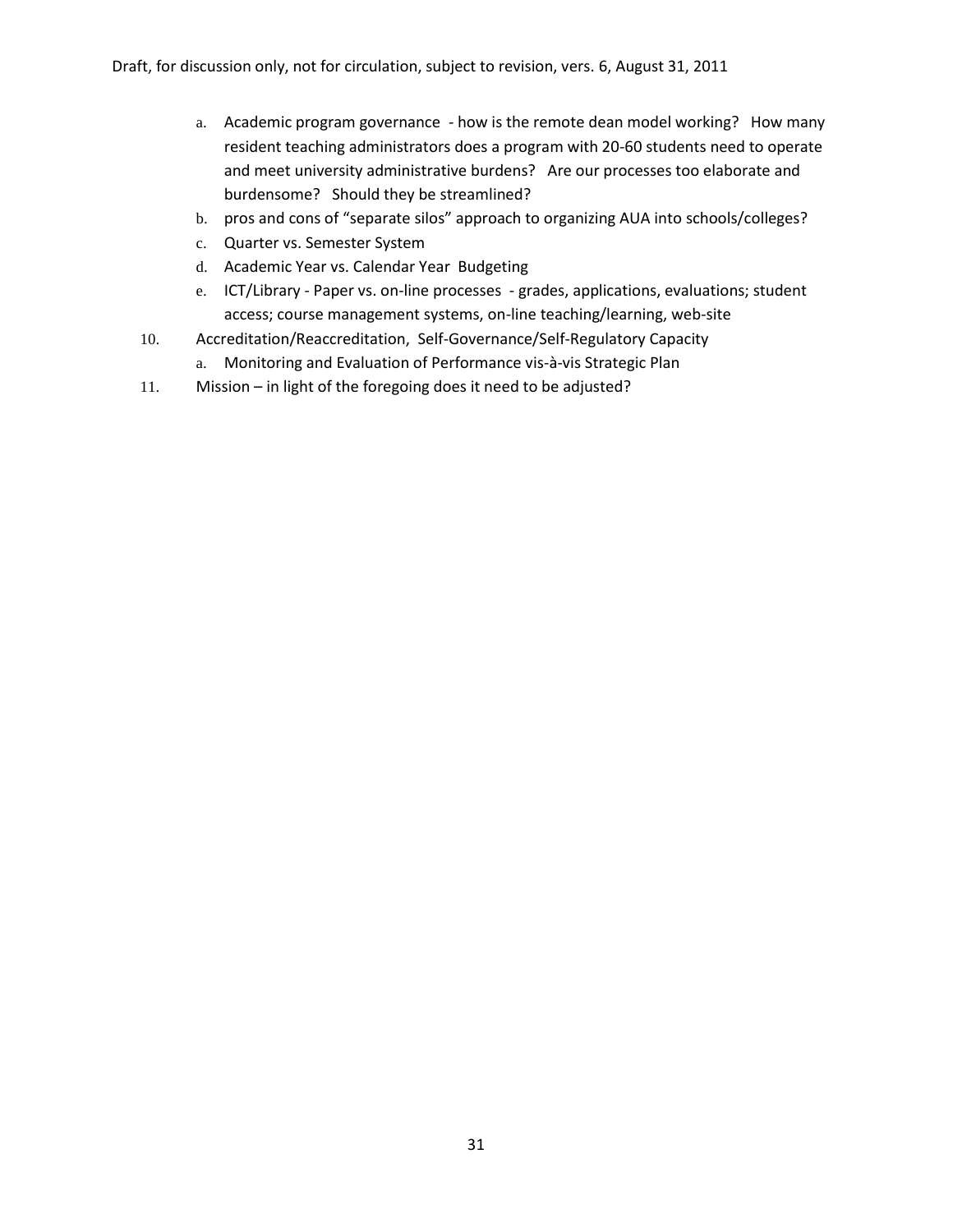- a. Academic program governance how is the remote dean model working? How many resident teaching administrators does a program with 20-60 students need to operate and meet university administrative burdens? Are our processes too elaborate and burdensome? Should they be streamlined?
- b. pros and cons of "separate silos" approach to organizing AUA into schools/colleges?
- c. Quarter vs. Semester System
- d. Academic Year vs. Calendar Year Budgeting
- e. ICT/Library Paper vs. on-line processes grades, applications, evaluations; student access; course management systems, on-line teaching/learning, web-site
- 10. Accreditation/Reaccreditation, Self-Governance/Self-Regulatory Capacity
	- a. Monitoring and Evaluation of Performance vis-à-vis Strategic Plan
- 11. Mission in light of the foregoing does it need to be adjusted?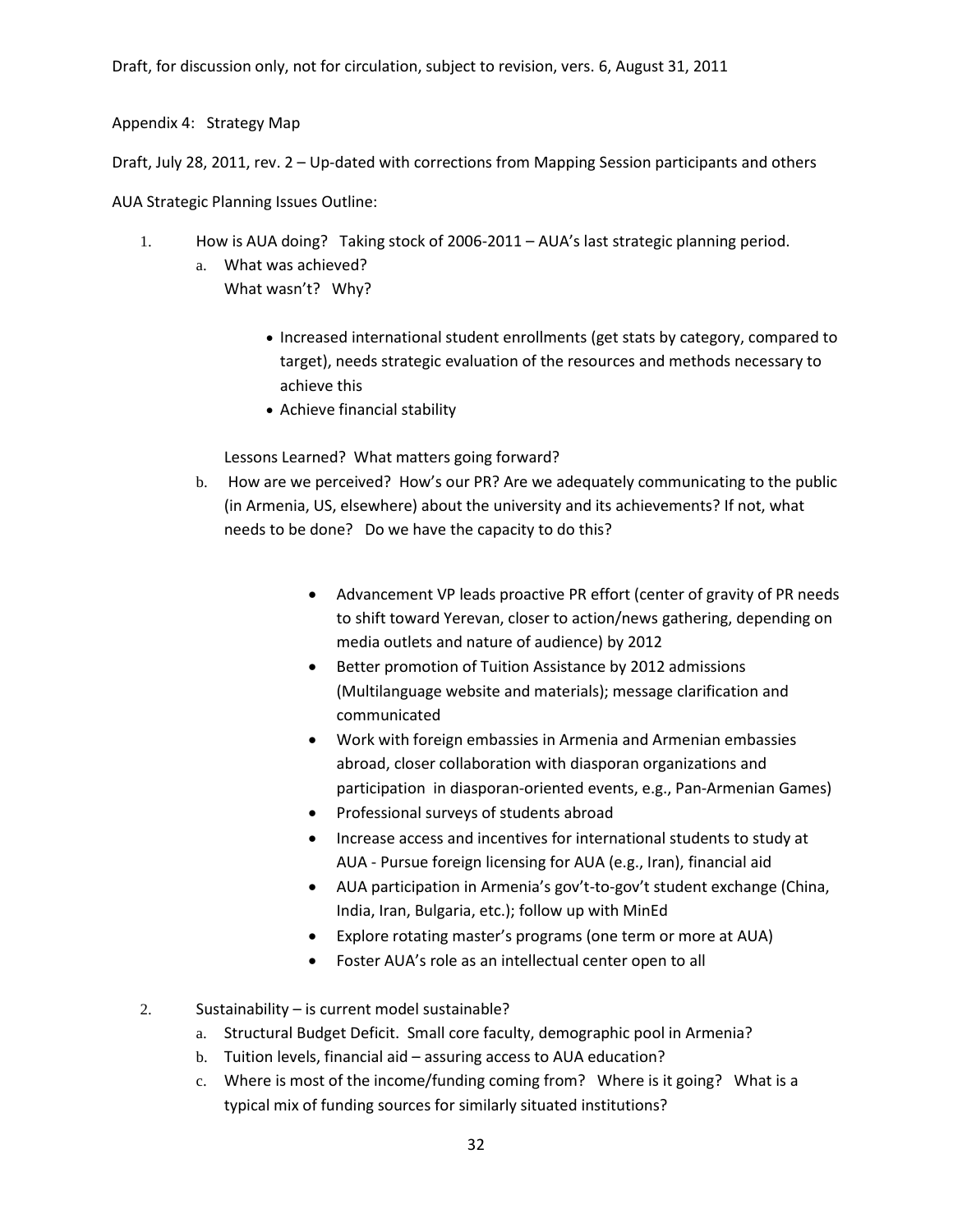Appendix 4: Strategy Map

Draft, July 28, 2011, rev. 2 – Up-dated with corrections from Mapping Session participants and others

AUA Strategic Planning Issues Outline:

- 1. How is AUA doing? Taking stock of 2006-2011 AUA's last strategic planning period.
	- a. What was achieved? What wasn't? Why?
		- Increased international student enrollments (get stats by category, compared to target), needs strategic evaluation of the resources and methods necessary to achieve this
		- Achieve financial stability

Lessons Learned? What matters going forward?

- b. How are we perceived? How's our PR? Are we adequately communicating to the public (in Armenia, US, elsewhere) about the university and its achievements? If not, what needs to be done? Do we have the capacity to do this?
	- Advancement VP leads proactive PR effort (center of gravity of PR needs to shift toward Yerevan, closer to action/news gathering, depending on media outlets and nature of audience) by 2012
	- Better promotion of Tuition Assistance by 2012 admissions (Multilanguage website and materials); message clarification and communicated
	- Work with foreign embassies in Armenia and Armenian embassies abroad, closer collaboration with diasporan organizations and participation in diasporan-oriented events, e.g., Pan-Armenian Games)
	- Professional surveys of students abroad
	- Increase access and incentives for international students to study at AUA - Pursue foreign licensing for AUA (e.g., Iran), financial aid
	- AUA participation in Armenia's gov't-to-gov't student exchange (China, India, Iran, Bulgaria, etc.); follow up with MinEd
	- Explore rotating master's programs (one term or more at AUA)
	- Foster AUA's role as an intellectual center open to all

2. Sustainability – is current model sustainable?

- a. Structural Budget Deficit. Small core faculty, demographic pool in Armenia?
- b. Tuition levels, financial aid assuring access to AUA education?
- c. Where is most of the income/funding coming from? Where is it going? What is a typical mix of funding sources for similarly situated institutions?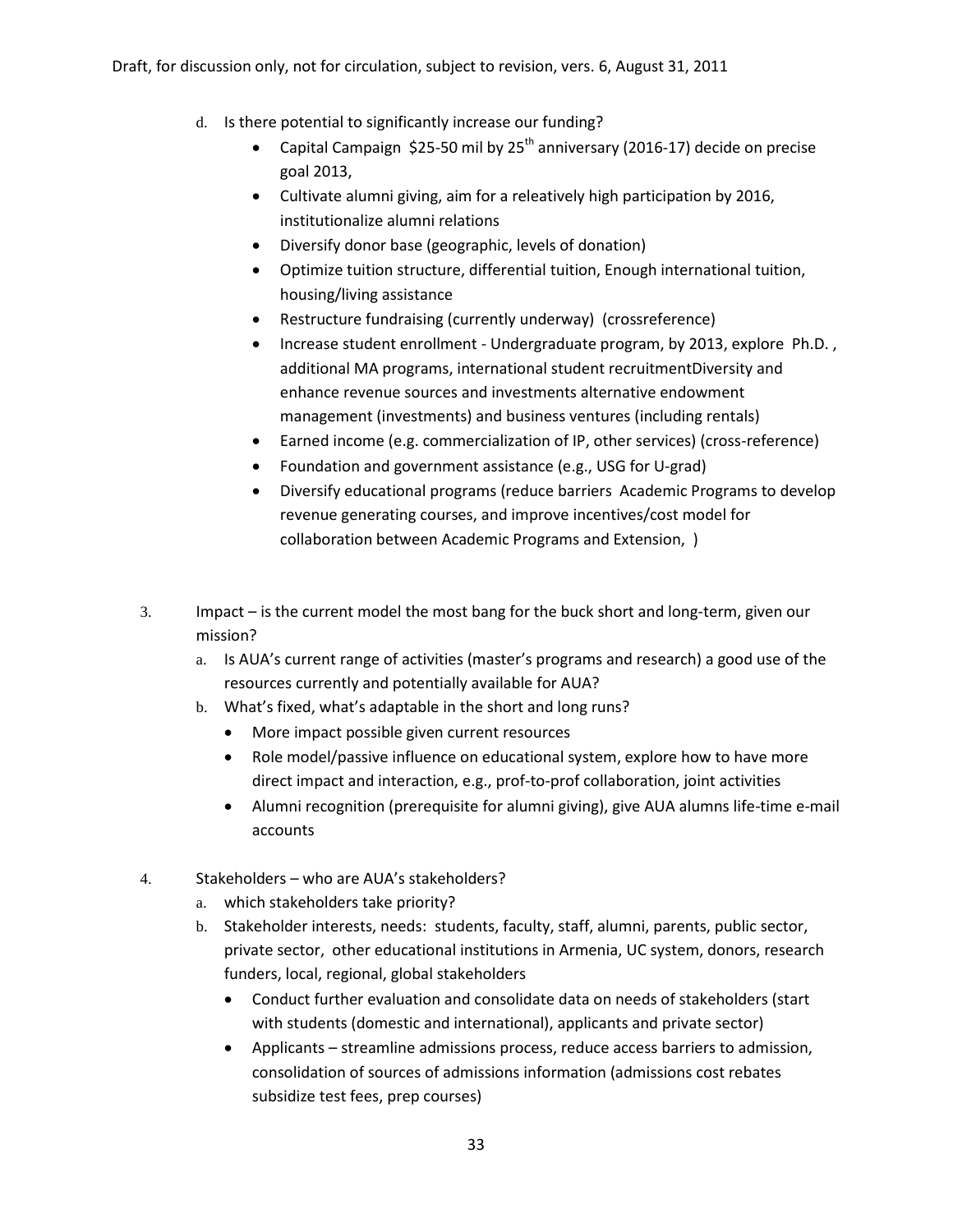- d. Is there potential to significantly increase our funding?
	- Capital Campaign \$25-50 mil by  $25<sup>th</sup>$  anniversary (2016-17) decide on precise goal 2013,
	- Cultivate alumni giving, aim for a releatively high participation by 2016, institutionalize alumni relations
	- Diversify donor base (geographic, levels of donation)
	- Optimize tuition structure, differential tuition, Enough international tuition, housing/living assistance
	- Restructure fundraising (currently underway) (crossreference)
	- Increase student enrollment Undergraduate program, by 2013, explore Ph.D. , additional MA programs, international student recruitmentDiversity and enhance revenue sources and investments alternative endowment management (investments) and business ventures (including rentals)
	- Earned income (e.g. commercialization of IP, other services) (cross-reference)
	- Foundation and government assistance (e.g., USG for U-grad)
	- Diversify educational programs (reduce barriers Academic Programs to develop revenue generating courses, and improve incentives/cost model for collaboration between Academic Programs and Extension, )
- 3. Impact is the current model the most bang for the buck short and long-term, given our mission?
	- a. Is AUA's current range of activities (master's programs and research) a good use of the resources currently and potentially available for AUA?
	- b. What's fixed, what's adaptable in the short and long runs?
		- More impact possible given current resources
		- Role model/passive influence on educational system, explore how to have more direct impact and interaction, e.g., prof-to-prof collaboration, joint activities
		- Alumni recognition (prerequisite for alumni giving), give AUA alumns life-time e-mail accounts
- 4. Stakeholders who are AUA's stakeholders?
	- a. which stakeholders take priority?
	- b. Stakeholder interests, needs: students, faculty, staff, alumni, parents, public sector, private sector, other educational institutions in Armenia, UC system, donors, research funders, local, regional, global stakeholders
		- Conduct further evaluation and consolidate data on needs of stakeholders (start with students (domestic and international), applicants and private sector)
		- Applicants streamline admissions process, reduce access barriers to admission, consolidation of sources of admissions information (admissions cost rebates subsidize test fees, prep courses)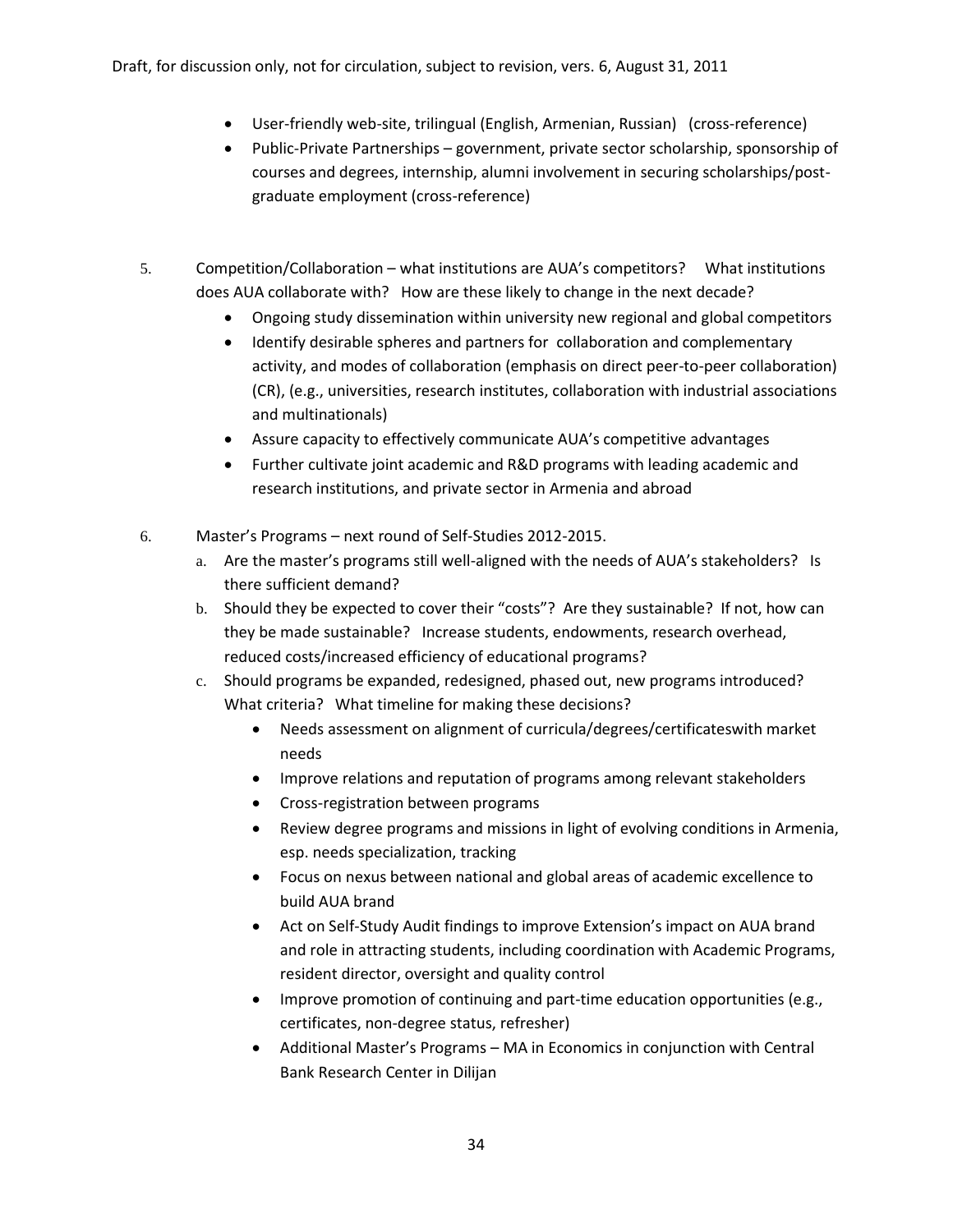- User-friendly web-site, trilingual (English, Armenian, Russian) (cross-reference)
- Public-Private Partnerships government, private sector scholarship, sponsorship of courses and degrees, internship, alumni involvement in securing scholarships/postgraduate employment (cross-reference)
- 5. Competition/Collaboration what institutions are AUA's competitors? What institutions does AUA collaborate with? How are these likely to change in the next decade?
	- Ongoing study dissemination within university new regional and global competitors
	- Identify desirable spheres and partners for collaboration and complementary activity, and modes of collaboration (emphasis on direct peer-to-peer collaboration) (CR), (e.g., universities, research institutes, collaboration with industrial associations and multinationals)
	- Assure capacity to effectively communicate AUA's competitive advantages
	- Further cultivate joint academic and R&D programs with leading academic and research institutions, and private sector in Armenia and abroad
- 6. Master's Programs next round of Self-Studies 2012-2015.
	- a. Are the master's programs still well-aligned with the needs of AUA's stakeholders? Is there sufficient demand?
	- b. Should they be expected to cover their "costs"? Are they sustainable? If not, how can they be made sustainable? Increase students, endowments, research overhead, reduced costs/increased efficiency of educational programs?
	- c. Should programs be expanded, redesigned, phased out, new programs introduced? What criteria? What timeline for making these decisions?
		- Needs assessment on alignment of curricula/degrees/certificateswith market needs
		- Improve relations and reputation of programs among relevant stakeholders
		- Cross-registration between programs
		- Review degree programs and missions in light of evolving conditions in Armenia, esp. needs specialization, tracking
		- Focus on nexus between national and global areas of academic excellence to build AUA brand
		- Act on Self-Study Audit findings to improve Extension's impact on AUA brand and role in attracting students, including coordination with Academic Programs, resident director, oversight and quality control
		- Improve promotion of continuing and part-time education opportunities (e.g., certificates, non-degree status, refresher)
		- Additional Master's Programs MA in Economics in conjunction with Central Bank Research Center in Dilijan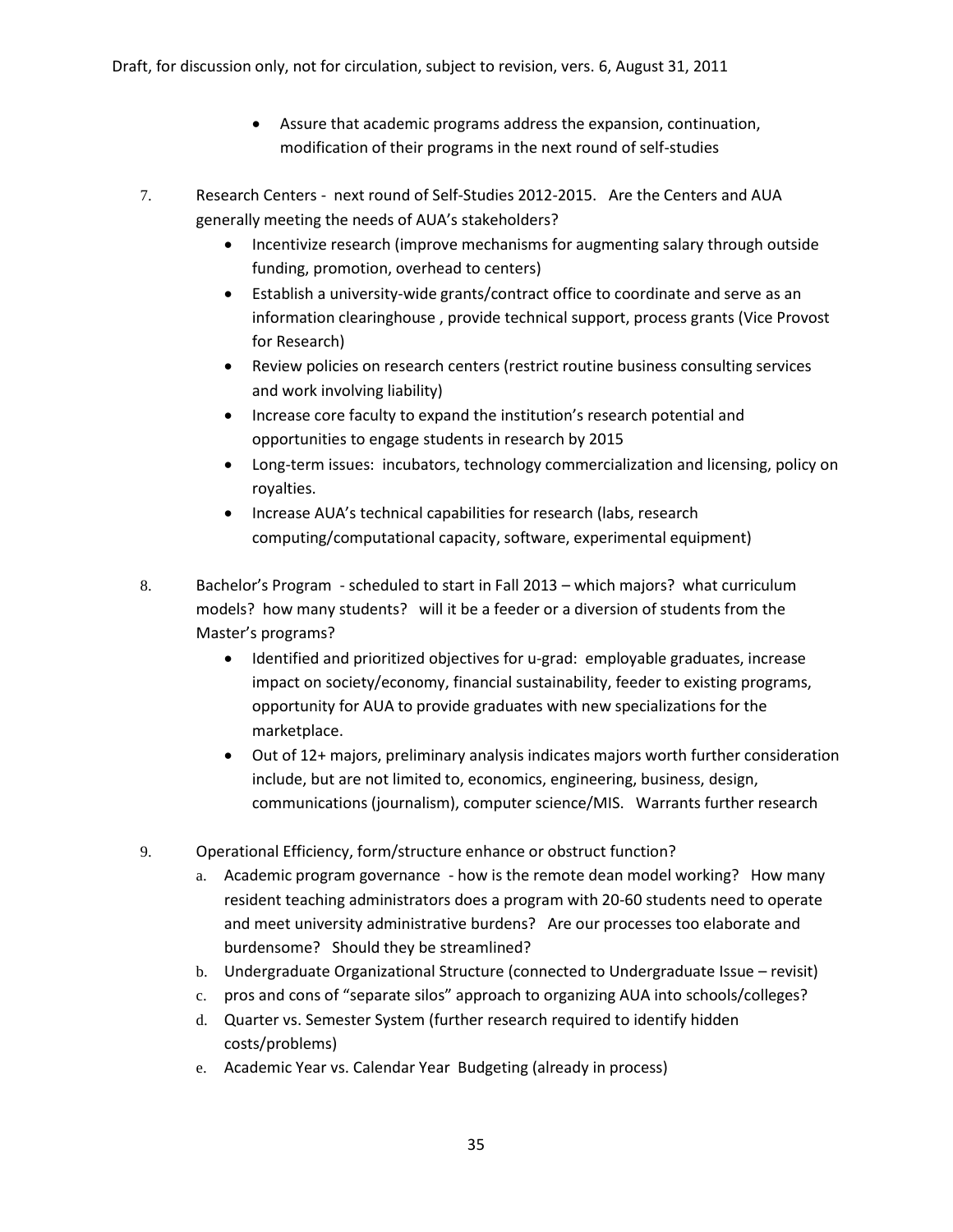- Assure that academic programs address the expansion, continuation, modification of their programs in the next round of self-studies
- 7. Research Centers next round of Self-Studies 2012-2015. Are the Centers and AUA generally meeting the needs of AUA's stakeholders?
	- Incentivize research (improve mechanisms for augmenting salary through outside funding, promotion, overhead to centers)
	- Establish a university-wide grants/contract office to coordinate and serve as an information clearinghouse , provide technical support, process grants (Vice Provost for Research)
	- Review policies on research centers (restrict routine business consulting services and work involving liability)
	- Increase core faculty to expand the institution's research potential and opportunities to engage students in research by 2015
	- Long-term issues: incubators, technology commercialization and licensing, policy on royalties.
	- Increase AUA's technical capabilities for research (labs, research computing/computational capacity, software, experimental equipment)
- 8. Bachelor's Program scheduled to start in Fall 2013 which majors? what curriculum models? how many students? will it be a feeder or a diversion of students from the Master's programs?
	- Identified and prioritized objectives for u-grad: employable graduates, increase impact on society/economy, financial sustainability, feeder to existing programs, opportunity for AUA to provide graduates with new specializations for the marketplace.
	- Out of 12+ majors, preliminary analysis indicates majors worth further consideration include, but are not limited to, economics, engineering, business, design, communications (journalism), computer science/MIS. Warrants further research
- 9. Operational Efficiency, form/structure enhance or obstruct function?
	- a. Academic program governance how is the remote dean model working? How many resident teaching administrators does a program with 20-60 students need to operate and meet university administrative burdens? Are our processes too elaborate and burdensome? Should they be streamlined?
	- b. Undergraduate Organizational Structure (connected to Undergraduate Issue revisit)
	- c. pros and cons of "separate silos" approach to organizing AUA into schools/colleges?
	- d. Quarter vs. Semester System (further research required to identify hidden costs/problems)
	- e. Academic Year vs. Calendar Year Budgeting (already in process)